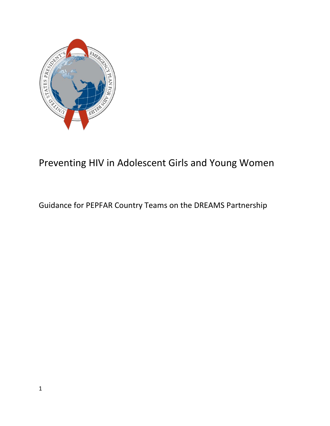

# Preventing HIV in Adolescent Girls and Young Women

## Guidance for PEPFAR Country Teams on the DREAMS Partnership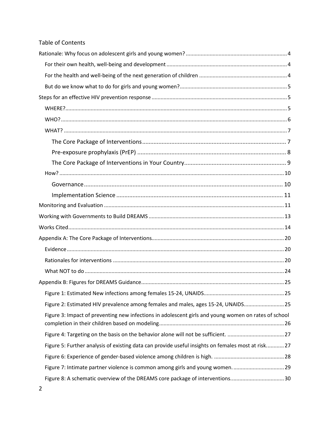### **Table of Contents**

| Figure 2: Estimated HIV prevalence among females and males, ages 15-24, UNAIDS 25                    |
|------------------------------------------------------------------------------------------------------|
| Figure 3: Impact of preventing new infections in adolescent girls and young women on rates of school |
|                                                                                                      |
| Figure 5: Further analysis of existing data can provide useful insights on females most at risk 27   |
|                                                                                                      |
| Figure 7: Intimate partner violence is common among girls and young women29                          |
| Figure 8: A schematic overview of the DREAMS core package of interventions30                         |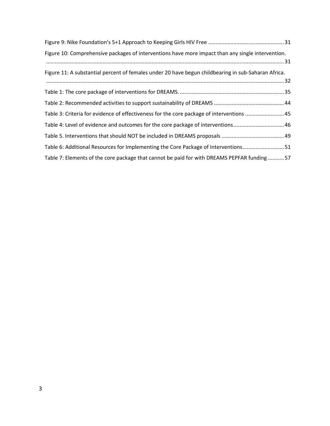| Figure 10: Comprehensive packages of interventions have more impact than any single intervention.   |
|-----------------------------------------------------------------------------------------------------|
|                                                                                                     |
| Figure 11: A substantial percent of females under 20 have begun childbearing in sub-Saharan Africa. |
|                                                                                                     |
|                                                                                                     |
|                                                                                                     |
| Table 3: Criteria for evidence of effectiveness for the core package of interventions 45            |
| Table 4: Level of evidence and outcomes for the core package of interventions46                     |
|                                                                                                     |
| Table 6: Additional Resources for Implementing the Core Package of Interventions51                  |
| Table 7: Elements of the core package that cannot be paid for with DREAMS PEPFAR funding57          |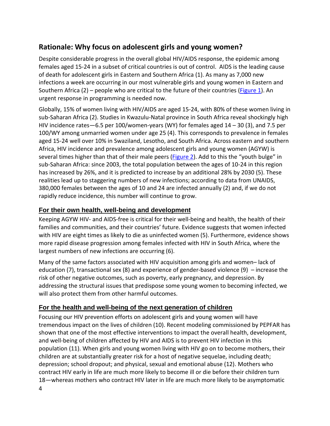## <span id="page-3-0"></span>**Rationale: Why focus on adolescent girls and young women?**

Despite considerable progress in the overall global HIV/AIDS response, the epidemic among females aged 15-24 in a subset of critical countries is out of control. AIDS is the leading cause of death for adolescent girls in Eastern and Southern Africa (1). As many as 7,000 new infections a week are occurring in our most vulnerable girls and young women in Eastern and Southern Africa  $(2)$  – people who are critical to the future of their countries [\(Figure 1\)](#page-24-1). An urgent response in programming is needed now.

Globally, 15% of women living with HIV/AIDS are aged 15-24, with 80% of these women living in sub-Saharan Africa (2). Studies in Kwazulu-Natal province in South Africa reveal shockingly high HIV incidence rates $-6.5$  per 100/women-years (WY) for females aged  $14 - 30$  (3), and 7.5 per 100/WY among unmarried women under age 25 (4). This corresponds to prevalence in females aged 15-24 well over 10% in Swaziland, Lesotho, and South Africa. Across eastern and southern Africa, HIV incidence and prevalence among adolescent girls and young women (AGYW) is several times higher than that of their male peers (*Figure 2*). Add to this the "youth bulge" in sub-Saharan Africa: since 2003, the total population between the ages of 10-24 in this region has increased by 26%, and it is predicted to increase by an additional 28% by 2030 (5). These realities lead up to staggering numbers of new infections; according to data from UNAIDS, 380,000 females between the ages of 10 and 24 are infected annually (2) and, if we do not rapidly reduce incidence, this number will continue to grow.

## <span id="page-3-1"></span>**For their own health, well-being and development**

Keeping AGYW HIV- and AIDS-free is critical for their well-being and health, the health of their families and communities, and their countries' future. Evidence suggests that women infected with HIV are eight times as likely to die as uninfected women (5). Furthermore, evidence shows more rapid disease progression among females infected with HIV in South Africa, where the largest numbers of new infections are occurring (6).

Many of the same factors associated with HIV acquisition among girls and women– lack of education (7), transactional sex (8) and experience of gender-based violence (9) – increase the risk of other negative outcomes, such as poverty, early pregnancy, and depression. By addressing the structural issues that predispose some young women to becoming infected, we will also protect them from other harmful outcomes.

## <span id="page-3-2"></span>**For the health and well-being of the next generation of children**

4 Focusing our HIV prevention efforts on adolescent girls and young women will have tremendous impact on the lives of children (10). Recent modeling commissioned by PEPFAR has shown that one of the most effective interventions to impact the overall health, development, and well-being of children affected by HIV and AIDS is to prevent HIV infection in this population (11). When girls and young women living with HIV go on to become mothers, their children are at substantially greater risk for a host of negative sequelae, including death; depression; school dropout; and physical, sexual and emotional abuse (12). Mothers who contract HIV early in life are much more likely to become ill or die before their children turn 18—whereas mothers who contract HIV later in life are much more likely to be asymptomatic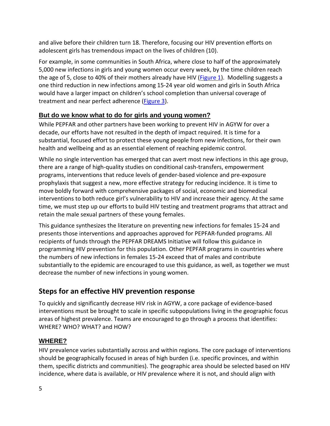and alive before their children turn 18. Therefore, focusing our HIV prevention efforts on adolescent girls has tremendous impact on the lives of children (10).

For example, in some communities in South Africa, where close to half of the approximately 5,000 new infections in girls and young women occur every week, by the time children reach the age of 5, close to 40% of their mothers already have HIV [\(Figure 1\)](#page-24-1). Modelling suggests a one third reduction in new infections among 15-24 year old women and girls in South Africa would have a larger impact on children's school completion than universal coverage of treatment and near perfect adherence [\(Figure 3\)](#page-25-0).

## <span id="page-4-0"></span>**But do we know what to do for girls and young women?**

While PEPFAR and other partners have been working to prevent HIV in AGYW for over a decade, our efforts have not resulted in the depth of impact required. It is time for a substantial, focused effort to protect these young people from new infections, for their own health and wellbeing and as an essential element of reaching epidemic control.

While no single intervention has emerged that can avert most new infections in this age group, there are a range of high-quality studies on conditional cash-transfers, empowerment programs, interventions that reduce levels of gender-based violence and pre-exposure prophylaxis that suggest a new, more effective strategy for reducing incidence. It is time to move boldly forward with comprehensive packages of social, economic and biomedical interventions to both reduce girl's vulnerability to HIV and increase their agency. At the same time, we must step up our efforts to build HIV testing and treatment programs that attract and retain the male sexual partners of these young females.

This guidance synthesizes the literature on preventing new infections for females 15-24 and presents those interventions and approaches approved for PEPFAR-funded programs. All recipients of funds through the PEPFAR DREAMS Initiative will follow this guidance in programming HIV prevention for this population. Other PEPFAR programs in countries where the numbers of new infections in females 15-24 exceed that of males and contribute substantially to the epidemic are encouraged to use this guidance, as well, as together we must decrease the number of new infections in young women.

## <span id="page-4-1"></span>**Steps for an effective HIV prevention response**

To quickly and significantly decrease HIV risk in AGYW, a core package of evidence-based interventions must be brought to scale in specific subpopulations living in the geographic focus areas of highest prevalence. Teams are encouraged to go through a process that identifies: WHERE? WHO? WHAT? and HOW?

## <span id="page-4-2"></span>**WHERE?**

HIV prevalence varies substantially across and within regions. The core package of interventions should be geographically focused in areas of high burden (i.e. specific provinces, and within them, specific districts and communities). The geographic area should be selected based on HIV incidence, where data is available, or HIV prevalence where it is not, and should align with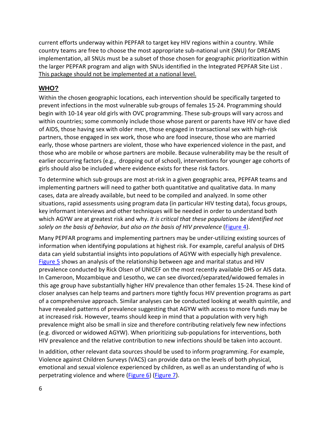current efforts underway within PEPFAR to target key HIV regions within a country. While country teams are free to choose the most appropriate sub-national unit (SNU) for DREAMS implementation, all SNUs must be a subset of those chosen for geographic prioritization within the larger PEPFAR program and align with SNUs identified in the Integrated PEPFAR Site List . This package should not be implemented at a national level.

### <span id="page-5-0"></span>**WHO?**

Within the chosen geographic locations, each intervention should be specifically targeted to prevent infections in the most vulnerable sub-groups of females 15-24. Programming should begin with 10-14 year old girls with OVC programming. These sub-groups will vary across and within countries; some commonly include those whose parent or parents have HIV or have died of AIDS, those having sex with older men, those engaged in transactional sex with high-risk partners, those engaged in sex work, those who are food insecure, those who are married early, those whose partners are violent, those who have experienced violence in the past, and those who are mobile or whose partners are mobile. Because vulnerability may be the result of earlier occurring factors (e.g., dropping out of school), interventions for younger age cohorts of girls should also be included where evidence exists for these risk factors.

To determine which sub-groups are most at-risk in a given geographic area, PEPFAR teams and implementing partners will need to gather both quantitative and qualitative data. In many cases, data are already available, but need to be compiled and analyzed. In some other situations, rapid assessments using program data (in particular HIV testing data), focus groups, key informant interviews and other techniques will be needed in order to understand both which AGYW are at greatest risk and why. *It is critical that these populations be identified not solely on the basis of behavior, but also on the basis of HIV prevalence* [\(Figure 4\)](#page-26-0).

Many PEPFAR programs and implementing partners may be under-utilizing existing sources of information when identifying populations at highest risk. For example, careful analysis of DHS data can yield substantial insights into populations of AGYW with especially high prevalence. [Figure 5](#page-26-1) shows an analysis of the relationship between age and marital status and HIV prevalence conducted by Rick Olsen of UNICEF on the most recently available DHS or AIS data. In Cameroon, Mozambique and Lesotho, we can see divorced/separated/widowed females in this age group have substantially higher HIV prevalence than other females 15-24. These kind of closer analyses can help teams and partners more tightly focus HIV prevention programs as part of a comprehensive approach. Similar analyses can be conducted looking at wealth quintile, and have revealed patterns of prevalence suggesting that AGYW with access to more funds may be at increased risk. However, teams should keep in mind that a population with very high prevalence might also be small in size and therefore contributing relatively few new infections (e.g. divorced or widowed AGYW). When prioritizing sub-populations for interventions, both HIV prevalence and the relative contribution to new infections should be taken into account.

In addition, other relevant data sources should be used to inform programming. For example, Violence against Children Surveys (VACS) can provide data on the levels of both physical, emotional and sexual violence experienced by children, as well as an understanding of who is perpetrating violence and where [\(Figure 6\)](#page-27-0) [\(Figure 7\)](#page-28-0).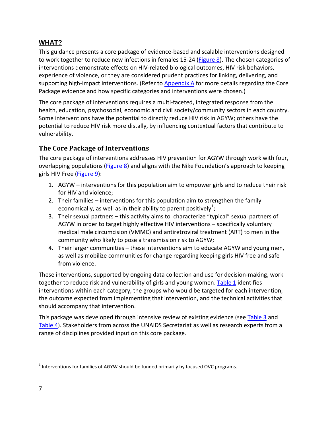### <span id="page-6-0"></span>**WHAT?**

This guidance presents a core package of evidence-based and scalable interventions designed to work together to reduce new infections in females 15-24 [\(Figure 8\)](#page-28-1). The chosen categories of interventions demonstrate effects on HIV-related biological outcomes, HIV risk behaviors, experience of violence, or they are considered prudent practices for linking, delivering, and supporting high-impact interventions. (Refer to [Appendix A](#page-12-1) for more details regarding the Core Package evidence and how specific categories and interventions were chosen.)

The core package of interventions requires a multi-faceted, integrated response from the health, education, psychosocial, economic and civil society/community sectors in each country. Some interventions have the potential to directly reduce HIV risk in AGYW; others have the potential to reduce HIV risk more distally, by influencing contextual factors that contribute to vulnerability.

## <span id="page-6-1"></span>**The Core Package of Interventions**

The core package of interventions addresses HIV prevention for AGYW through work with four, overlapping populations [\(Figure 8\)](#page-28-1) and aligns with the Nike Foundation's approach to keeping girls HIV Free [\(Figure 9\)](#page-29-1):

- 1. AGYW interventions for this population aim to empower girls and to reduce their risk for HIV and violence;
- 2. Their families interventions for this population aim to strengthen the family economically, as well as in their ability to parent positively<sup>[1](#page-6-2)</sup>;
- 3. Their sexual partners this activity aims to characterize "typical" sexual partners of AGYW in order to target highly effective HIV interventions – specifically voluntary medical male circumcision (VMMC) and antiretroviral treatment (ART) to men in the community who likely to pose a transmission risk to AGYW;
- 4. Their larger communities these interventions aim to educate AGYW and young men, as well as mobilize communities for change regarding keeping girls HIV free and safe from violence.

These interventions, supported by ongoing data collection and use for decision-making, work together to reduce risk and vulnerability of girls and young women. [Table 1](#page-34-0) identifies interventions within each category, the groups who would be targeted for each intervention, the outcome expected from implementing that intervention, and the technical activities that should accompany that intervention.

This package was developed through intensive review of existing evidence (see [Table 3](#page-44-0) and [Table 4\)](#page-45-0). Stakeholders from across the UNAIDS Secretariat as well as research experts from a range of disciplines provided input on this core package.

 $\overline{a}$ 

<span id="page-6-2"></span> $1$  Interventions for families of AGYW should be funded primarily by focused OVC programs.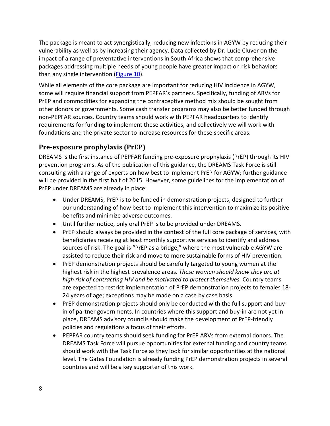The package is meant to act synergistically, reducing new infections in AGYW by reducing their vulnerability as well as by increasing their agency. Data collected by Dr. Lucie Cluver on the impact of a range of preventative interventions in South Africa shows that comprehensive packages addressing multiple needs of young people have greater impact on risk behaviors than any single intervention [\(Figure 10\)](#page-30-1).

While all elements of the core package are important for reducing HIV incidence in AGYW, some will require financial support from PEPFAR's partners. Specifically, funding of ARVs for PrEP and commodities for expanding the contraceptive method mix should be sought from other donors or governments. Some cash transfer programs may also be better funded through non-PEPFAR sources. Country teams should work with PEPFAR headquarters to identify requirements for funding to implement these activities, and collectively we will work with foundations and the private sector to increase resources for these specific areas.

## <span id="page-7-0"></span>**Pre-exposure prophylaxis (PrEP)**

DREAMS is the first instance of PEPFAR funding pre-exposure prophylaxis (PrEP) through its HIV prevention programs. As of the publication of this guidance, the DREAMS Task Force is still consulting with a range of experts on how best to implement PrEP for AGYW; further guidance will be provided in the first half of 2015. However, some guidelines for the implementation of PrEP under DREAMS are already in place:

- Under DREAMS, PrEP is to be funded in demonstration projects, designed to further our understanding of how best to implement this intervention to maximize its positive benefits and minimize adverse outcomes.
- Until further notice, only oral PrEP is to be provided under DREAMS.
- PrEP should always be provided in the context of the full core package of services, with beneficiaries receiving at least monthly supportive services to identify and address sources of risk. The goal is "PrEP as a bridge," where the most vulnerable AGYW are assisted to reduce their risk and move to more sustainable forms of HIV prevention.
- PrEP demonstration projects should be carefully targeted to young women at the highest risk in the highest prevalence areas. *These women should know they are at high risk of contracting HIV and be motivated to protect themselves.* Country teams are expected to restrict implementation of PrEP demonstration projects to females 18- 24 years of age; exceptions may be made on a case by case basis.
- PrEP demonstration projects should only be conducted with the full support and buyin of partner governments. In countries where this support and buy-in are not yet in place, DREAMS advisory councils should make the development of PrEP-friendly policies and regulations a focus of their efforts.
- PEPFAR country teams should seek funding for PrEP ARVs from external donors. The DREAMS Task Force will pursue opportunities for external funding and country teams should work with the Task Force as they look for similar opportunities at the national level. The Gates Foundation is already funding PrEP demonstration projects in several countries and will be a key supporter of this work.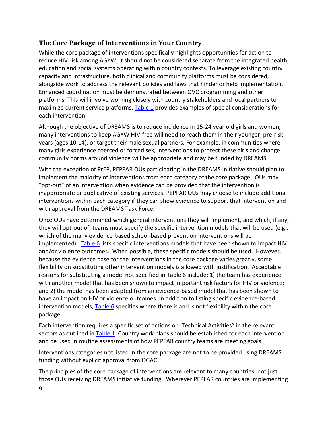## <span id="page-8-0"></span>**The Core Package of Interventions in Your Country**

While the core package of interventions specifically highlights opportunities for action to reduce HIV risk among AGYW, it should not be considered separate from the integrated health, education and social systems operating within country contexts. To leverage existing country capacity and infrastructure, both clinical and community platforms must be considered, alongside work to address the relevant policies and laws that hinder or help implementation. Enhanced coordination must be demonstrated between OVC programming and other platforms. This will involve working closely with country stakeholders and local partners to maximize current service platforms[. Table 1](#page-34-0) provides examples of special considerations for each intervention.

Although the objective of DREAMS is to reduce incidence in 15-24 year old girls and women, many interventions to keep AGYW HIV-free will need to reach them in their younger, pre-risk years (ages 10-14), or target their male sexual partners. For example, in communities where many girls experience coerced or forced sex, interventions to protect these girls and change community norms around violence will be appropriate and may be funded by DREAMS.

With the exception of PrEP, PEPFAR OUs participating in the DREAMS Initiative should plan to implement the majority of interventions from each category of the core package. OUs may "opt-out" of an intervention when evidence can be provided that the intervention is inappropriate or duplicative of existing services. PEPFAR OUs may choose to include additional interventions within each category if they can show evidence to support that intervention and with approval from the DREAMS Task Force.

Once OUs have determined which general interventions they will implement, and which, if any, they will opt-out of, teams must specify the specific intervention models that will be used (e.g., which of the many evidence-based school-based prevention interventions will be implemented). [Table 6](#page-49-0) lists specific interventions models that have been shown to impact HIV and/or violence outcomes. When possible, these specific models should be used. However, because the evidence base for the interventions in the core package varies greatly, some flexibility on substituting other intervention models is allowed with justification. Acceptable reasons for substituting a model not specified in Table 6 include: 1) the team has experience with another model that has been shown to impact important risk factors for HIV or violence; and 2) the model has been adapted from an evidence-based model that has been shown to have an impact on HIV or violence outcomes. In addition to listing specific evidence-based intervention models, [Table 6](#page-49-0) specifies where there is and is not flexibility within the core package.

Each intervention requires a specific set of actions or "Technical Activities" in the relevant sectors as outlined in **Table 1**. Country work plans should be established for each intervention and be used in routine assessments of how PEPFAR country teams are meeting goals.

Interventions categories not listed in the core package are not to be provided using DREAMS funding without explicit approval from OGAC.

The principles of the core package of interventions are relevant to many countries, not just those OUs receiving DREAMS initiative funding. Wherever PEPFAR countries are implementing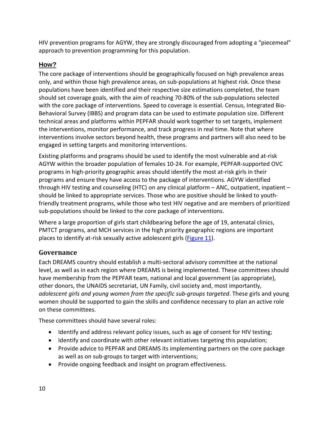HIV prevention programs for AGYW, they are strongly discouraged from adopting a "piecemeal" approach to prevention programming for this population.

### <span id="page-9-0"></span>**How?**

The core package of interventions should be geographically focused on high prevalence areas only, and within those high prevalence areas, on sub-populations at highest risk. Once these populations have been identified and their respective size estimations completed, the team should set coverage goals, with the aim of reaching 70-80% of the sub-populations selected with the core package of interventions. Speed to coverage is essential. Census, Integrated Bio-Behavioral Survey (IBBS) and program data can be used to estimate population size. Different technical areas and platforms within PEPFAR should work together to set targets, implement the interventions, monitor performance, and track progress in real time. Note that where interventions involve sectors beyond health, these programs and partners will also need to be engaged in setting targets and monitoring interventions.

Existing platforms and programs should be used to identify the most vulnerable and at-risk AGYW within the broader population of females 10-24. For example, PEPFAR-supported OVC programs in high-priority geographic areas should identify the most at-risk girls in their programs and ensure they have access to the package of interventions. AGYW identified through HIV testing and counseling (HTC) on any clinical platform – ANC, outpatient, inpatient – should be linked to appropriate services. Those who are positive should be linked to youthfriendly treatment programs, while those who test HIV negative and are members of prioritized sub-populations should be linked to the core package of interventions.

Where a large proportion of girls start childbearing before the age of 19, antenatal clinics, PMTCT programs, and MCH services in the high priority geographic regions are important places to identify at-risk sexually active adolescent girls [\(Figure 11\)](#page-28-1).

## <span id="page-9-1"></span>**Governance**

Each DREAMS country should establish a multi-sectoral advisory committee at the national level, as well as in each region where DREAMS is being implemented. These committees should have membership from the PEPFAR team, national and local government (as appropriate), other donors, the UNAIDS secretariat, UN Family, civil society and, most importantly, *adolescent girls and young women from the specific sub-groups targeted*. These girls and young women should be supported to gain the skills and confidence necessary to plan an active role on these committees.

These committees should have several roles:

- Identify and address relevant policy issues, such as age of consent for HIV testing;
- Identify and coordinate with other relevant initiatives targeting this population;
- Provide advice to PEPFAR and DREAMS its implementing partners on the core package as well as on sub-groups to target with interventions;
- Provide ongoing feedback and insight on program effectiveness.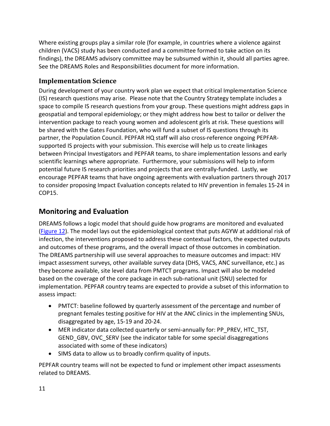Where existing groups play a similar role (for example, in countries where a violence against children (VACS) study has been conducted and a committee formed to take action on its findings), the DREAMS advisory committee may be subsumed within it, should all parties agree. See the DREAMS Roles and Responsibilities document for more information.

### <span id="page-10-0"></span>**Implementation Science**

During development of your country work plan we expect that critical Implementation Science (IS) research questions may arise. Please note that the Country Strategy template includes a space to compile IS research questions from your group. These questions might address gaps in geospatial and temporal epidemiology; or they might address how best to tailor or deliver the intervention package to reach young women and adolescent girls at risk. These questions will be shared with the Gates Foundation, who will fund a subset of IS questions through its partner, the Population Council. PEPFAR HQ staff will also cross-reference ongoing PEPFARsupported IS projects with your submission. This exercise will help us to create linkages between Principal Investigators and PEPFAR teams, to share implementation lessons and early scientific learnings where appropriate. Furthermore, your submissions will help to inform potential future IS research priorities and projects that are centrally-funded. Lastly, we encourage PEPFAR teams that have ongoing agreements with evaluation partners through 2017 to consider proposing Impact Evaluation concepts related to HIV prevention in females 15-24 in COP15.

## <span id="page-10-1"></span>**Monitoring and Evaluation**

DREAMS follows a logic model that should guide how programs are monitored and evaluated [\(Figure 12\)](#page-32-0). The model lays out the epidemiological context that puts AGYW at additional risk of infection, the interventions proposed to address these contextual factors, the expected outputs and outcomes of these programs, and the overall impact of those outcomes in combination. The DREAMS partnership will use several approaches to measure outcomes and impact: HIV impact assessment surveys, other available survey data (DHS, VACS, ANC surveillance, etc.) as they become available, site level data from PMTCT programs. Impact will also be modeled based on the coverage of the core package in each sub-national unit (SNU) selected for implementation. PEPFAR country teams are expected to provide a subset of this information to assess impact:

- PMTCT: baseline followed by quarterly assessment of the percentage and number of pregnant females testing positive for HIV at the ANC clinics in the implementing SNUs, disaggregated by age, 15-19 and 20-24.
- MER indicator data collected quarterly or semi-annually for: PP\_PREV, HTC\_TST, GEND GBV, OVC SERV (see the indicator table for some special disaggregations associated with some of these indicators)
- SIMS data to allow us to broadly confirm quality of inputs.

PEPFAR country teams will not be expected to fund or implement other impact assessments related to DREAMS.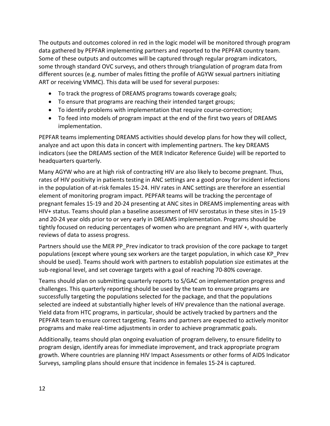The outputs and outcomes colored in red in the logic model will be monitored through program data gathered by PEPFAR implementing partners and reported to the PEPFAR country team. Some of these outputs and outcomes will be captured through regular program indicators, some through standard OVC surveys, and others through triangulation of program data from different sources (e.g. number of males fitting the profile of AGYW sexual partners initiating ART or receiving VMMC). This data will be used for several purposes:

- To track the progress of DREAMS programs towards coverage goals;
- To ensure that programs are reaching their intended target groups;
- To identify problems with implementation that require course-correction;
- To feed into models of program impact at the end of the first two years of DREAMS implementation.

PEPFAR teams implementing DREAMS activities should develop plans for how they will collect, analyze and act upon this data in concert with implementing partners. The key DREAMS indicators (see the DREAMS section of the MER Indicator Reference Guide) will be reported to headquarters quarterly.

Many AGYW who are at high risk of contracting HIV are also likely to become pregnant. Thus, rates of HIV positivity in patients testing in ANC settings are a good proxy for incident infections in the population of at-risk females 15-24. HIV rates in ANC settings are therefore an essential element of monitoring program impact. PEPFAR teams will be tracking the percentage of pregnant females 15-19 and 20-24 presenting at ANC sites in DREAMS implementing areas with HIV+ status. Teams should plan a baseline assessment of HIV serostatus in these sites in 15-19 and 20-24 year olds prior to or very early in DREAMS implementation. Programs should be tightly focused on reducing percentages of women who are pregnant and HIV +, with quarterly reviews of data to assess progress.

Partners should use the MER PP\_Prev indicator to track provision of the core package to target populations (except where young sex workers are the target population, in which case KP\_Prev should be used). Teams should work with partners to establish population size estimates at the sub-regional level, and set coverage targets with a goal of reaching 70-80% coverage.

Teams should plan on submitting quarterly reports to S/GAC on implementation progress and challenges. This quarterly reporting should be used by the team to ensure programs are successfully targeting the populations selected for the package, and that the populations selected are indeed at substantially higher levels of HIV prevalence than the national average. Yield data from HTC programs, in particular, should be actively tracked by partners and the PEPFAR team to ensure correct targeting. Teams and partners are expected to actively monitor programs and make real-time adjustments in order to achieve programmatic goals.

Additionally, teams should plan ongoing evaluation of program delivery, to ensure fidelity to program design, identify areas for immediate improvement, and track appropriate program growth. Where countries are planning HIV Impact Assessments or other forms of AIDS Indicator Surveys, sampling plans should ensure that incidence in females 15-24 is captured.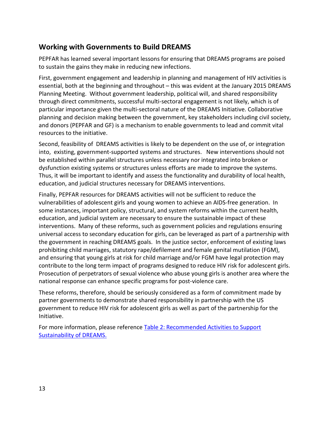## <span id="page-12-0"></span>**Working with Governments to Build DREAMS**

PEPFAR has learned several important lessons for ensuring that DREAMS programs are poised to sustain the gains they make in reducing new infections.

First, government engagement and leadership in planning and management of HIV activities is essential, both at the beginning and throughout – this was evident at the January 2015 DREAMS Planning Meeting. Without government leadership, political will, and shared responsibility through direct commitments, successful multi-sectoral engagement is not likely, which is of particular importance given the multi-sectoral nature of the DREAMS Initiative. Collaborative planning and decision making between the government, key stakeholders including civil society, and donors (PEPFAR and GF) is a mechanism to enable governments to lead and commit vital resources to the initiative.

Second, feasibility of DREAMS activities is likely to be dependent on the use of, or integration into, existing, government-supported systems and structures. New interventions should not be established within parallel structures unless necessary nor integrated into broken or dysfunction existing systems or structures unless efforts are made to improve the systems. Thus, it will be important to identify and assess the functionality and durability of local health, education, and judicial structures necessary for DREAMS interventions.

Finally, PEPFAR resources for DREAMS activities will not be sufficient to reduce the vulnerabilities of adolescent girls and young women to achieve an AIDS-free generation. In some instances, important policy, structural, and system reforms within the current health, education, and judicial system are necessary to ensure the sustainable impact of these interventions. Many of these reforms, such as government policies and regulations ensuring universal access to secondary education for girls, can be leveraged as part of a partnership with the government in reaching DREAMS goals. In the justice sector, enforcement of existing laws prohibiting child marriages, statutory rape/defilement and female genital mutilation (FGM), and ensuring that young girls at risk for child marriage and/or FGM have legal protection may contribute to the long term impact of programs designed to reduce HIV risk for adolescent girls. Prosecution of perpetrators of sexual violence who abuse young girls is another area where the national response can enhance specific programs for post-violence care.

These reforms, therefore, should be seriously considered as a form of commitment made by partner governments to demonstrate shared responsibility in partnership with the US government to reduce HIV risk for adolescent girls as well as part of the partnership for the Initiative.

<span id="page-12-1"></span>For more information, please reference Table 2: Recommended Activities to Support [Sustainability of DREAMS.](#page-42-0)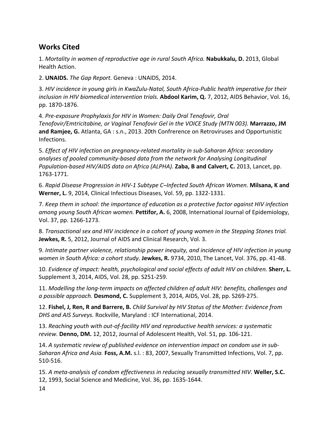## <span id="page-13-0"></span>**Works Cited**

1. *Mortality in women of reproductive age in rural South Africa.* **Nabukkalu, D.** 2013, Global Health Action.

2. **UNAIDS.** *The Gap Report.* Geneva : UNAIDS, 2014.

3. *HIV incidence in young girls in KwaZulu-Natal, South Africa-Public health imperative for their inclusion in HIV biomedical intervention trials.* **Abdool Karim, Q.** 7, 2012, AIDS Behavior, Vol. 16, pp. 1870-1876.

4. *Pre-exposure Prophylaxis for HIV in Women: Daily Oral Tenofovir, Oral Tenofovir/Emtricitabine, or Vaginal Tenofovir Gel in the VOICE Study (MTN 003).* **Marrazzo, JM and Ramjee, G.** Atlanta, GA : s.n., 2013. 20th Confrerence on Retroviruses and Opportunistic Infections.

5. *Effect of HIV infection on pregnancy-related mortality in sub-Saharan Africa: secondary analyses of pooled community-based data from the network for Analysing Longitudinal Population-based HIV/AIDS data on Africa (ALPHA).* **Zaba, B and Calvert, C.** 2013, Lancet, pp. 1763-1771.

6. *Rapid Disease Progression in HIV-1 Subtype C–Infected South African Women.* **Milsana, K and Werner, L.** 9, 2014, Clinical Infectious Diseases, Vol. 59, pp. 1322-1331.

7. *Keep them in school: the importance of education as a protective factor against HIV infection among young South African women.* **Pettifor, A.** 6, 2008, International Journal of Epidemiology, Vol. 37, pp. 1266-1273.

8. *Transactional sex and HIV incidence in a cohort of young women in the Stepping Stones trial.*  **Jewkes, R.** 5, 2012, Journal of AIDS and Clinical Research, Vol. 3.

9. *Intimate partner violence, relationship power inequity, and incidence of HIV infection in young women in South Africa: a cohort study.* **Jewkes, R.** 9734, 2010, The Lancet, Vol. 376, pp. 41-48.

10. *Evidence of impact: health, psychological and social effects of adult HIV on children.* **Sherr, L.** Supplement 3, 2014, AIDS, Vol. 28, pp. S251-259.

11. *Modelling the long-term impacts on affected children of adult HIV: benefits, challenges and a possible approach.* **Desmond, C.** Supplement 3, 2014, AIDS, Vol. 28, pp. S269-275.

12. **Fishel, J, Ren, R and Barrere, B.** *Child Survival by HIV Status of the Mother: Evidence from DHS and AIS Surveys.* Rockville, Maryland : ICF International, 2014.

13. *Reaching youth with out-of-facility HIV and reproductive health services: a systematic review.* **Denno, DM.** 12, 2012, Journal of Adolescent Health, Vol. 51, pp. 106-121.

14. *A systematic review of published evidence on intervention impact on condom use in sub-Saharan Africa and Asia.* **Foss, A.M.** s.l. : 83, 2007, Sexually Transmitted Infections, Vol. 7, pp. 510-516.

14 15. *A meta-analysis of condom effectiveness in reducing sexually transmitted HIV.* **Weller, S.C.** 12, 1993, Social Science and Medicine, Vol. 36, pp. 1635-1644.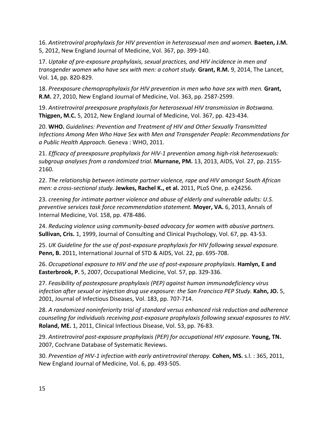16. *Antiretroviral prophylaxis for HIV prevention in heterosexual men and women.* **Baeten, J.M.** 5, 2012, New England Journal of Medicine, Vol. 367, pp. 399-140.

17. *Uptake of pre-exposure prophylaxis, sexual practices, and HIV incidence in men and transgender women who have sex with men: a cohort study.* **Grant, R.M.** 9, 2014, The Lancet, Vol. 14, pp. 820-829.

18. Preexposure chemoprophylaxis for HIV prevention in men who have sex with men. Grant, **R.M.** 27, 2010, New England Journal of Medicine, Vol. 363, pp. 2587-2599.

19. *Antiretroviral preexposure prophylaxis for heterosexual HIV transmission in Botswana.*  **Thigpen, M.C.** 5, 2012, New England Journal of Medicine, Vol. 367, pp. 423-434.

20. **WHO.** *Guidelines: Prevention and Treatment of HIV and Other Sexually Transmitted Infections Among Men Who Have Sex with Men and Transgender People: Recommendations for a Public Health Approach.* Geneva : WHO, 2011.

21. *Efficacy of preexposure prophylaxis for HIV-1 prevention among high-risk heterosexuals: subgroup analyses from a randomized trial.* **Murnane, PM.** 13, 2013, AIDS, Vol. 27, pp. 2155- 2160.

22. *The relationship between intimate partner violence, rape and HIV amongst South African men: a cross-sectional study.* **Jewkes, Rachel K., et al.** 2011, PLoS One, p. e24256.

23. *creening for intimate partner violence and abuse of elderly and vulnerable adults: U.S. preventive services task force recommendation statement.* **Moyer, VA.** 6, 2013, Annals of Internal Medicine, Vol. 158, pp. 478-486.

24. *Reducing violence using community-based advocacy for women with abusive partners.*  **Sullivan, Cris.** 1, 1999, Journal of Consulting and Clinical Psychology, Vol. 67, pp. 43-53.

25. *UK Guideline for the use of post-exposure prophylaxis for HIV following sexual exposure.*  **Penn, B.** 2011, International Journal of STD & AIDS, Vol. 22, pp. 695-708.

26. *Occupational exposure to HIV and the use of post-exposure prophylaxis.* **Hamlyn, E and Easterbrook, P.** 5, 2007, Occupational Medicine, Vol. 57, pp. 329-336.

27. *Feasibility of postexposure prophylaxis (PEP) against human immunodeficiency virus infection after sexual or injection drug use exposure: the San Francisco PEP Study.* **Kahn, JO.** 5, 2001, Journal of Infectious Diseases, Vol. 183, pp. 707-714.

28. *A randomized noninferiority trial of standard versus enhanced risk reduction and adherence counseling for individuals receiving post-exposure prophylaxis following sexual exposures to HIV.*  **Roland, ME.** 1, 2011, Clinical Infectious Disease, Vol. 53, pp. 76-83.

29. *Antiretroviral post-exposure prophylaxis (PEP) for occupational HIV exposure.* **Young, TN.** 2007, Cochrane Database of Systematic Reviews.

30. *Prevention of HIV-1 infection with early antiretroviral therapy.* **Cohen, MS.** s.l. : 365, 2011, New England Journal of Medicine, Vol. 6, pp. 493-505.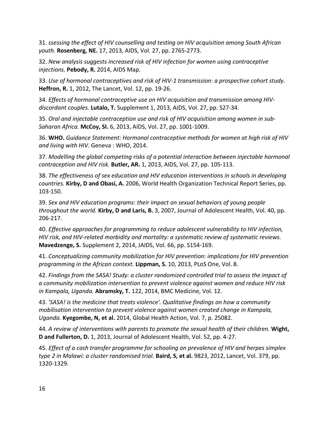31. *ssessing the effect of HIV counselling and testing on HIV acquisition among South African youth.* **Rosenberg, NE.** 17, 2013, AIDS, Vol. 27, pp. 2765-2773.

32. *New analysis suggests increased risk of HIV infection for women using contraceptive injections.* **Pebody, R.** 2014, AIDS Map.

33. *Use of hormonal contraceptives and risk of HIV-1 transmission: a prospective cohort study.*  **Heffron, R.** 1, 2012, The Lancet, Vol. 12, pp. 19-26.

34. *Effects of hormonal contraceptive use on HIV acquisition and transmission among HIVdiscordant couples.* **Lutalo, T.** Supplement 1, 2013, AIDS, Vol. 27, pp. S27-34.

35. *Oral and injectable contraception use and risk of HIV acquisition among women in sub-Saharan Africa.* **McCoy, SI.** 6, 2013, AIDS, Vol. 27, pp. 1001-1009.

36. **WHO.** *Guidance Statement: Hormonal contraceptive methods for women at high risk of HIV and living with HIV.* Geneva : WHO, 2014.

37. *Modelling the global competing risks of a potential interaction between injectable hormonal contraception and HIV risk.* **Butler, AR.** 1, 2013, AIDS, Vol. 27, pp. 105-113.

38. *The effectiveness of sex education and HIV education interventions in schools in developing countries.* **Kirby, D and Obasi, A.** 2006, World Health Organization Technical Report Series, pp. 103-150.

39. *Sex and HIV education programs: their impact on sexual behaviors of young people throughout the world.* **Kirby, D and Laris, B.** 3, 2007, Journal of Adolescent Health, Vol. 40, pp. 206-217.

40. *Effective approaches for programming to reduce adolescent vulnerability to HIV infection, HIV risk, and HIV-related morbidity and mortality: a systematic review of systematic reviews.*  **Mavedzenge, S.** Supplement 2, 2014, JAIDS, Vol. 66, pp. S154-169.

41. *Conceptualizing community mobilization for HIV prevention: implications for HIV prevention programming in the African context.* **Lippman, S.** 10, 2013, PLoS One, Vol. 8.

42. *Findings from the SASA! Study: a cluster randomized controlled trial to assess the impact of a community mobilization intervention to prevent violence against women and reduce HIV risk in Kampala, Uganda.* **Abramsky, T.** 122, 2014, BMC Medicine, Vol. 12.

43. *'SASA! is the medicine that treats violence'. Qualitative findings on how a community mobilisation intervention to prevent violence against women created change in Kampala, Uganda.* **Kyegombe, N, et al.** 2014, Global Health Action, Vol. 7, p. 25082.

44. *A review of interventions with parents to promote the sexual health of their children.* **Wight, D and Fullerton, D.** 1, 2013, Journal of Adolescent Health, Vol. 52, pp. 4-27.

45. *Effect of a cash transfer programme for schooling on prevalence of HIV and herpes simplex type 2 in Malawi: a cluster randomised trial.* **Baird, S, et al.** 9823, 2012, Lancet, Vol. 379, pp. 1320-1329.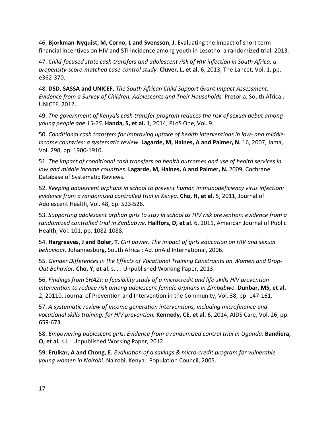46. **Bjorkman-Nyquist, M, Corno, L and Svensson, J.** Evaluating the impact of short term financial incentives on HIV and STI incidence among youth in Lesotho: a randomized trial. 2013.

47. *Child-focused state cash transfers and adolescent risk of HIV infection in South Africa: a propensity-score-matched case-control study.* **Cluver, L, et al.** 6, 2013, The Lancet, Vol. 1, pp. e362-370.

48. **DSD, SASSA and UNICEF.** *The South African Child Support Grant Impact Assessment: Evidence from a Survey of Children, Adolescents and Their Households.* Pretoria, South Africa : UNICEF, 2012.

49. *The government of Kenya's cash transfer program reduces the risk of sexual debut among young people age 15-25.* **Handa, S, et al.** 1, 2014, PLoS One, Vol. 9.

50. *Conditional cash transfers for improving uptake of health interventions in low- and middleincome countries: a systematic review.* **Lagarde, M, Haines, A and Palmer, N.** 16, 2007, Jama, Vol. 298, pp. 1900-1910.

51. *The impact of conditional cash transfers on health outcomes and use of health services in low and middle income countries.* **Lagarde, M, Haines, A and Palmer, N.** 2009, Cochrane Database of Systematic Reviews.

52. *Keeping adolescent orphans in school to prevent human immunodeficiency virus infection: evidence from a randomized controlled trial in Kenya.* **Cho, H, et al.** 5, 2011, Journal of Adolescent Health, Vol. 48, pp. 523-526.

53. *Supporting adolescent orphan girls to stay in school as HIV risk prevention: evidence from a randomized controlled trial in Zimbabwe.* **Hallfors, D, et al.** 6, 2011, American Journal of Public Health, Vol. 101, pp. 1082-1088.

54. **Hargreaves, J and Boler, T.** *Girl power. The impact of girls education on HIV and sexual behaviour.* Johannesburg, South Africa : ActionAid International, 2006.

55. *Gender Differences in the Effects of Vocational Training Constraints on Women and Drop-Out Behavior.* **Cho, Y, et al.** s.l. : Unpublished Working Paper, 2013.

56. *Findings from SHAZ!: a feasibility study of a microcredit and life-skills HIV prevention intervention to reduce risk among adolescent female orphans in Zimbabwe.* **Dunbar, MS, et al.** 2, 20110, Journal of Prevention and Intervention in the Community, Vol. 38, pp. 147-161.

57. *A systematic review of income generation interventions, including microfinance and vocational skills training, for HIV prevention.* **Kennedy, CE, et al.** 6, 2014, AIDS Care, Vol. 26, pp. 659-673.

58. *Empowering adolescent girls: Evidence from a randomized control trial in Uganda.* **Bandiera, O, et al.** s.l. : Unpublished Working Paper, 2012.

59. **Erulkar, A and Chong, E.** *Evaluation of a savings & micro-credit program for vulnerable young women in Nairobi.* Nairobi, Kenya : Population Council, 2005.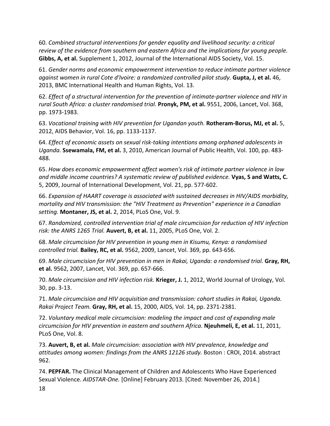60. *Combined structural interventions for gender equality and livelihood security: a critical review of the evidence from southern and eastern Africa and the implications for young people.*  **Gibbs, A, et al.** Supplement 1, 2012, Journal of the International AIDS Society, Vol. 15.

61. *Gender norms and economic empowerment intervention to reduce intimate partner violence against women in rural Cote d'Ivoire: a randomized controlled pilot study*. **Gupta, J, et al.** 46, 2013, BMC International Health and Human Rights, Vol. 13.

62. *Effect of a structural intervention for the prevention of intimate-partner violence and HIV in rural South Africa: a cluster randomised trial.* **Pronyk, PM, et al.** 9551, 2006, Lancet, Vol. 368, pp. 1973-1983.

63. *Vocational training with HIV prevention for Ugandan youth.* **Rotheram-Borus, MJ, et al.** 5, 2012, AIDS Behavior, Vol. 16, pp. 1133-1137.

64. *Effect of economic assets on sexual risk-taking intentions among orphaned adolescents in Uganda.* **Ssewamala, FM, et al.** 3, 2010, American Journal of Public Health, Vol. 100, pp. 483- 488.

65. *How does economic empowerment affect women's risk of intimate partner violence in low and middle income countries? A systematic review of published evidence.* **Vyas, S and Watts, C.** 5, 2009, Journal of International Development, Vol. 21, pp. 577-602.

66. *Expansion of HAART coverage is associated with sustained decreases in HIV/AIDS morbidity, mortality and HIV transmission: the "HIV Treatment as Prevention" experience in a Canadian setting.* **Montaner, JS, et al.** 2, 2014, PLoS One, Vol. 9.

67. *Randomized, controlled intervention trial of male circumcision for reduction of HIV infection risk: the ANRS 1265 Trial.* **Auvert, B, et al.** 11, 2005, PLoS One, Vol. 2.

68. *Male circumcision for HIV prevention in young men in Kisumu, Kenya: a randomised controlled trial.* **Bailey, RC, et al.** 9562, 2009, Lancet, Vol. 369, pp. 643-656.

69. *Male circumcision for HIV prevention in men in Rakai, Uganda: a randomised trial.* **Gray, RH, et al.** 9562, 2007, Lancet, Vol. 369, pp. 657-666.

70. *Male circumcision and HIV infection risk.* **Krieger, J.** 1, 2012, World Journal of Urology, Vol. 30, pp. 3-13.

71. *Male circumcision and HIV acquisition and transmission: cohort studies in Rakai, Uganda. Rakai Project Team.* **Gray, RH, et al.** 15, 2000, AIDS, Vol. 14, pp. 2371-2381.

72. *Voluntary medical male circumcision: modeling the impact and cost of expanding male circumcision for HIV prevention in eastern and southern Africa.* **Njeuhmeli, E, et al.** 11, 2011, PLoS One, Vol. 8.

73. **Auvert, B, et al.** *Male circumcision: association with HIV prevalence, knowledge and attitudes among women: findings from the ANRS 12126 study.* Boston : CROI, 2014. abstract 962.

18 74. **PEPFAR.** The Clinical Management of Children and Adolescents Who Have Experienced Sexual Violence. *AIDSTAR-One.* [Online] February 2013. [Cited: November 26, 2014.]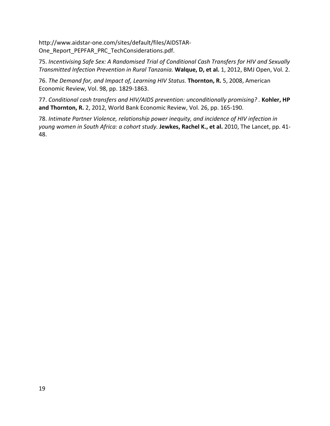http://www.aidstar-one.com/sites/default/files/AIDSTAR-One\_Report\_PEPFAR\_PRC\_TechConsiderations.pdf.

75. *Incentivising Safe Sex: A Randomised Trial of Conditional Cash Transfers for HIV and Sexually Transmitted Infection Prevention in Rural Tanzania.* **Walque, D, et al.** 1, 2012, BMJ Open, Vol. 2.

76. *The Demand for, and Impact of, Learning HIV Status.* **Thornton, R.** 5, 2008, American Economic Review, Vol. 98, pp. 1829-1863.

77. Conditional cash transfers and HIV/AIDS prevention: unconditionally promising? . Kohler, HP **and Thornton, R.** 2, 2012, World Bank Economic Review, Vol. 26, pp. 165-190.

78. *Intimate Partner Violence, relationship power inequity, and incidence of HIV infection in young women in South Africa: a cohort study.* **Jewkes, Rachel K., et al.** 2010, The Lancet, pp. 41- 48.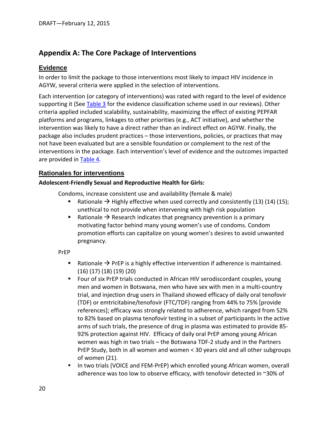## <span id="page-19-0"></span>**Appendix A: The Core Package of Interventions**

#### <span id="page-19-1"></span>**Evidence**

In order to limit the package to those interventions most likely to impact HIV incidence in AGYW, several criteria were applied in the selection of interventions.

Each intervention (or category of interventions) was rated with regard to the level of evidence supporting it (See [Table 3](#page-44-0) for the evidence classification scheme used in our reviews). Other criteria applied included scalability, sustainability, maximizing the effect of existing PEPFAR platforms and programs, linkages to other priorities (e.g., ACT initiative), and whether the intervention was likely to have a direct rather than an indirect effect on AGYW. Finally, the package also includes prudent practices – those interventions, policies, or practices that may not have been evaluated but are a sensible foundation or complement to the rest of the interventions in the package. Each intervention's level of evidence and the outcomes impacted are provided in [Table 4.](#page-45-0)

#### <span id="page-19-2"></span>**Rationales for interventions**

#### **Adolescent-Friendly Sexual and Reproductive Health for Girls:**

Condoms, increase consistent use and availability (female & male)

- Rationale  $\rightarrow$  Highly effective when used correctly and consistently (13) (14) (15); unethical to not provide when intervening with high risk population
- Rationale  $\rightarrow$  Research indicates that pregnancy prevention is a primary motivating factor behind many young women's use of condoms. Condom promotion efforts can capitalize on young women's desires to avoid unwanted pregnancy.

#### PrEP

- Rationale  $\rightarrow$  PrEP is a highly effective intervention if adherence is maintained. (16) (17) (18) (19) (20)
- Four of six PrEP trials conducted in African HIV serodiscordant couples, young men and women in Botswana, men who have sex with men in a multi-country trial, and injection drug users in Thailand showed efficacy of daily oral tenofovir (TDF) or emtricitabine/tenofovir (FTC/TDF) ranging from 44% to 75% [provide references]; efficacy was strongly related to adherence, which ranged from 52% to 82% based on plasma tenofovir testing in a subset of participants In the active arms of such trials, the presence of drug in plasma was estimated to provide 85- 92% protection against HIV. Efficacy of daily oral PrEP among young African women was high in two trials – the Botswana TDF-2 study and in the Partners PrEP Study, both in all women and women < 30 years old and all other subgroups of women (21).
- In two trials (VOICE and FEM-PrEP) which enrolled young African women, overall adherence was too low to observe efficacy, with tenofovir detected in ~30% of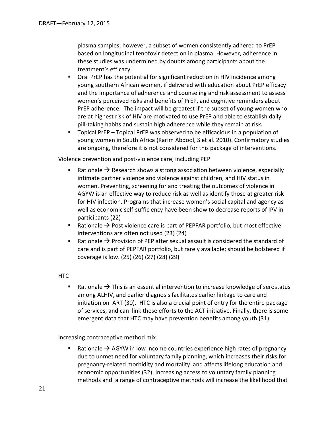plasma samples; however, a subset of women consistently adhered to PrEP based on longitudinal tenofovir detection in plasma. However, adherence in these studies was undermined by doubts among participants about the treatment's efficacy.

- **Oral PrEP has the potential for significant reduction in HIV incidence among** young southern African women, if delivered with education about PrEP efficacy and the importance of adherence and counseling and risk assessment to assess women's perceived risks and benefits of PrEP, and cognitive reminders about PrEP adherence. The impact will be greatest if the subset of young women who are at highest risk of HIV are motivated to use PrEP and able to establish daily pill-taking habits and sustain high adherence while they remain at risk**.**
- Topical PrEP Topical PrEP was observed to be efficacious in a population of young women in South Africa (Karim Abdool, S et al. 2010). Confirmatory studies are ongoing, therefore it is not considered for this package of interventions.

Violence prevention and post-violence care, including PEP

- Rationale  $\rightarrow$  Research shows a strong association between violence, especially intimate partner violence and violence against children, and HIV status in women. Preventing, screening for and treating the outcomes of violence in AGYW is an effective way to reduce risk as well as identify those at greater risk for HIV infection. Programs that increase women's social capital and agency as well as economic self-sufficiency have been show to decrease reports of IPV in participants (22)
- Rationale  $\rightarrow$  Post violence care is part of PEPFAR portfolio, but most effective interventions are often not used (23) (24)
- **Rationale**  $\rightarrow$  **Provision of PEP after sexual assault is considered the standard of** care and is part of PEPFAR portfolio, but rarely available; should be bolstered if coverage is low. (25) (26) (27) (28) (29)

HTC

**Rationale**  $\rightarrow$  **This is an essential intervention to increase knowledge of serostatus** among ALHIV, and earlier diagnosis facilitates earlier linkage to care and initiation on ART (30). HTC is also a crucial point of entry for the entire package of services, and can link these efforts to the ACT initiative. Finally, there is some emergent data that HTC may have prevention benefits among youth (31).

Increasing contraceptive method mix

**Rationale**  $\rightarrow$  **AGYW in low income countries experience high rates of pregnancy** due to unmet need for voluntary family planning, which increases their risks for pregnancy-related morbidity and mortality and affects lifelong education and economic opportunities (32). Increasing access to voluntary family planning methods and a range of contraceptive methods will increase the likelihood that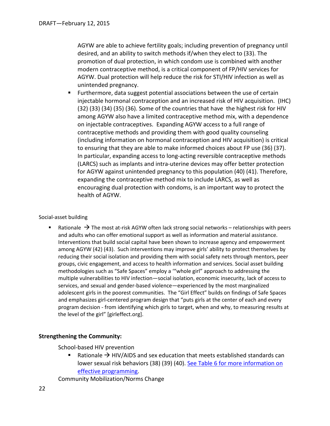AGYW are able to achieve fertility goals; including prevention of pregnancy until desired, and an ability to switch methods if/when they elect to (33). The promotion of dual protection, in which condom use is combined with another modern contraceptive method, is a critical component of FP/HIV services for AGYW. Dual protection will help reduce the risk for STI/HIV infection as well as unintended pregnancy.

**Furthermore, data suggest potential associations between the use of certain** injectable hormonal contraception and an increased risk of HIV acquisition. (IHC) (32) (33) (34) (35) (36). Some of the countries that have the highest risk for HIV among AGYW also have a limited contraceptive method mix, with a dependence on injectable contraceptives. Expanding AGYW access to a full range of contraceptive methods and providing them with good quality counseling (including information on hormonal contraception and HIV acquisition) is critical to ensuring that they are able to make informed choices about FP use (36) (37). In particular, expanding access to long-acting reversible contraceptive methods (LARCS) such as implants and intra-uterine devices may offer better protection for AGYW against unintended pregnancy to this population (40) (41). Therefore, expanding the contraceptive method mix to include LARCS, as well as encouraging dual protection with condoms, is an important way to protect the health of AGYW.

#### Social-asset building

**Rationale**  $\rightarrow$  **The most at-risk AGYW often lack strong social networks – relationships with peers** and adults who can offer emotional support as well as information and material assistance. Interventions that build social capital have been shown to increase agency and empowerment among AGYW (42) (43). Such interventions may improve girls' ability to protect themselves by reducing their social isolation and providing them with social safety nets through mentors, peer groups, civic engagement, and access to health information and services. Social asset building methodologies such as "Safe Spaces" employ a '"whole girl" approach to addressing the multiple vulnerabilities to HIV infection—social isolation, economic insecurity, lack of access to services, and sexual and gender-based violence—experienced by the most marginalized adolescent girls in the poorest communities. The "Girl Effect" builds on findings of Safe Spaces and emphasizes girl-centered program design that "puts girls at the center of each and every program decision - from identifying which girls to target, when and why, to measuring results at the level of the girl" [girleffect.org].

#### **Strengthening the Community:**

School-based HIV prevention

Rationale  $\rightarrow$  HIV/AIDS and sex education that meets established standards can lower sexual risk behaviors (38) (39) (40). See Table 6 for more information on [effective programming.](#page-57-0)

Community Mobilization/Norms Change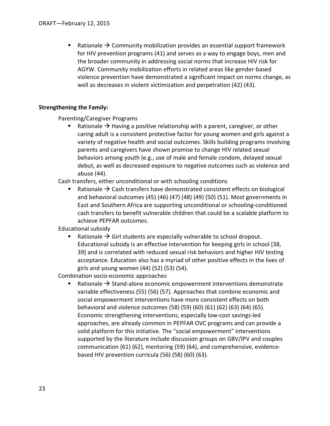**EXECOM** Rationale  $\rightarrow$  Community mobilization provides an essential support framework for HIV prevention programs (41) and serves as a way to engage boys, men and the broader community in addressing social norms that increase HIV risk for AGYW. Community mobilization efforts in related areas like gender-based violence prevention have demonstrated a significant impact on norms change, as well as decreases in violent victimization and perpetration (42) (43).

#### **Strengthening the Family:**

Parenting/Caregiver Programs

**Rationale**  $\rightarrow$  **Having a positive relationship with a parent, caregiver, or other** caring adult is a consistent protective factor for young women and girls against a variety of negative health and social outcomes. Skills building programs involving parents and caregivers have shown promise to change HIV related sexual behaviors among youth (e.g., use of male and female condom, delayed sexual debut, as well as decreased exposure to negative outcomes such as violence and abuse (44).

Cash transfers, either unconditional or with schooling conditions

Rationale  $\rightarrow$  Cash transfers have demonstrated consistent effects on biological and behavioral outcomes (45) (46) (47) (48) (49) (50) (51). Most governments in East and Southern Africa are supporting unconditional or schooling-conditioned cash transfers to benefit vulnerable children that could be a scalable platform to achieve PEPFAR outcomes.

Educational subsidy

Rationale  $\rightarrow$  Girl students are especially vulnerable to school dropout. Educational subsidy is an effective intervention for keeping girls in school [38, 39] and is correlated with reduced sexual risk behaviors and higher HIV testing acceptance. Education also has a myriad of other positive effects in the lives of girls and young women (44) (52) (53) (54).

Combination socio-economic approaches

Rationale  $\rightarrow$  Stand-alone economic empowerment interventions demonstrate variable effectiveness (55) (56) (57). Approaches that combine economic and social empowerment interventions have more consistent effects on both behavioral and violence outcomes (58) (59) (60) (61) (62) (63) (64) (65). Economic strengthening interventions, especially low-cost savings-led approaches, are already common in PEPFAR OVC programs and can provide a solid platform for this initiative. The "social empowerment" interventions supported by the literature include discussion groups on GBV/IPV and couples communication (61) (62), mentoring (59) (64), and comprehensive, evidencebased HIV prevention curricula (56) (58) (60) (63).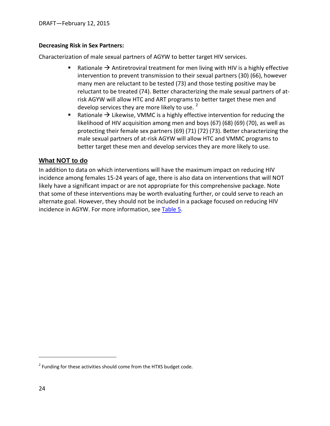#### **Decreasing Risk in Sex Partners:**

Characterization of male sexual partners of AGYW to better target HIV services.

- Rationale  $\rightarrow$  Antiretroviral treatment for men living with HIV is a highly effective intervention to prevent transmission to their sexual partners (30) (66), however many men are reluctant to be tested (73) and those testing positive may be reluctant to be treated (74). Better characterizing the male sexual partners of atrisk AGYW will allow HTC and ART programs to better target these men and develop services they are more likely to use.  $<sup>2</sup>$  $<sup>2</sup>$  $<sup>2</sup>$ </sup>
- Rationale  $\rightarrow$  Likewise, VMMC is a highly effective intervention for reducing the likelihood of HIV acquisition among men and boys (67) (68) (69) (70), as well as protecting their female sex partners (69) (71) (72) (73). Better characterizing the male sexual partners of at-risk AGYW will allow HTC and VMMC programs to better target these men and develop services they are more likely to use.

### <span id="page-23-0"></span>**What NOT to do**

In addition to data on which interventions will have the maximum impact on reducing HIV incidence among females 15-24 years of age, there is also data on interventions that will NOT likely have a significant impact or are not appropriate for this comprehensive package. Note that some of these interventions may be worth evaluating further, or could serve to reach an alternate goal. However, they should not be included in a package focused on reducing HIV incidence in AGYW. For more information, see [Table 5.](#page-48-0)

 $\overline{a}$ 

<span id="page-23-1"></span> $2$  Funding for these activities should come from the HTXS budget code.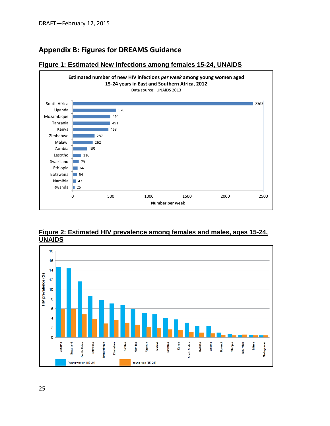## <span id="page-24-0"></span>**Appendix B: Figures for DREAMS Guidance**



#### <span id="page-24-1"></span>**Figure 1: Estimated New infections among females 15-24, UNAIDS**

<span id="page-24-2"></span>**Figure 2: Estimated HIV prevalence among females and males, ages 15-24, UNAIDS**

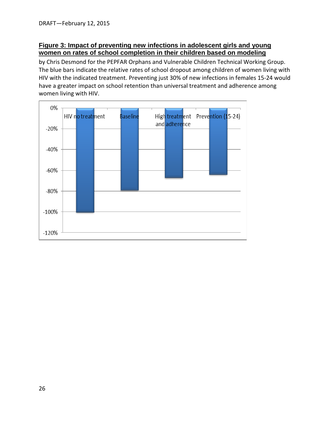#### <span id="page-25-0"></span>**Figure 3: Impact of preventing new infections in adolescent girls and young women on rates of school completion in their children based on modeling**

by Chris Desmond for the PEPFAR Orphans and Vulnerable Children Technical Working Group. The blue bars indicate the relative rates of school dropout among children of women living with HIV with the indicated treatment. Preventing just 30% of new infections in females 15-24 would have a greater impact on school retention than universal treatment and adherence among women living with HIV.

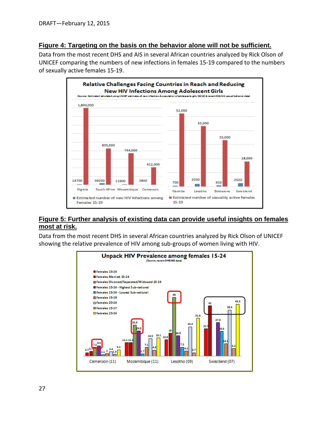#### <span id="page-26-0"></span>**Figure 4: Targeting on the basis on the behavior alone will not be sufficient.**

Data from the most recent DHS and AIS in several African countries analyzed by Rick Olson of UNICEF comparing the numbers of new infections in females 15-19 compared to the numbers of sexually active females 15-19.



#### <span id="page-26-1"></span>**Figure 5: Further analysis of existing data can provide useful insights on females most at risk.**

Data from the most recent DHS in several African countries analyzed by Rick Olson of UNICEF showing the relative prevalence of HIV among sub-groups of women living with HIV.

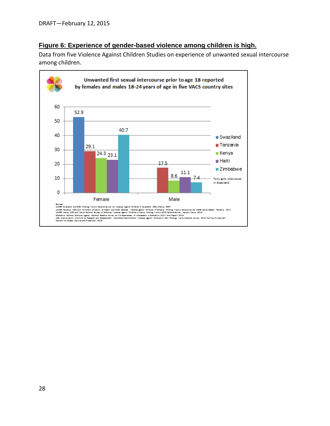### <span id="page-27-0"></span>**Figure 6: Experience of gender-based violence among children is high.**

Data from five Violence Against Children Studies on experience of unwanted sexual intercourse among children.

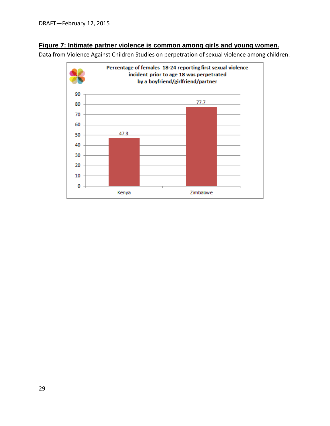#### <span id="page-28-0"></span>**Figure 7: Intimate partner violence is common among girls and young women.**

Data from Violence Against Children Studies on perpetration of sexual violence among children.

<span id="page-28-1"></span>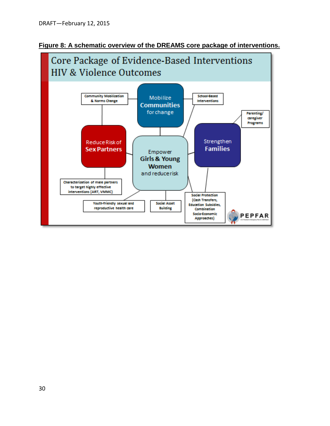<span id="page-29-1"></span>

<span id="page-29-0"></span>**Figure 8: A schematic overview of the DREAMS core package of interventions.**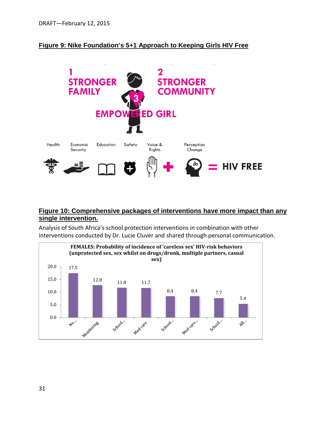#### <span id="page-30-0"></span>**Figure 9: Nike Foundation's 5+1 Approach to Keeping Girls HIV Free**



#### <span id="page-30-1"></span>**Figure 10: Comprehensive packages of interventions have more impact than any single intervention.**

Analysis of South Africa's school protection interventions in combination with other interventions conducted by Dr. Lucie Cluver and shared through personal communication.

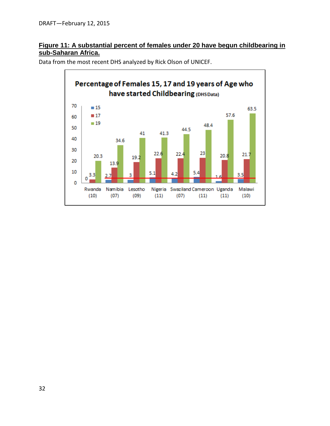### <span id="page-31-0"></span>**Figure 11: A substantial percent of females under 20 have begun childbearing in sub-Saharan Africa.**



Data from the most recent DHS analyzed by Rick Olson of UNICEF.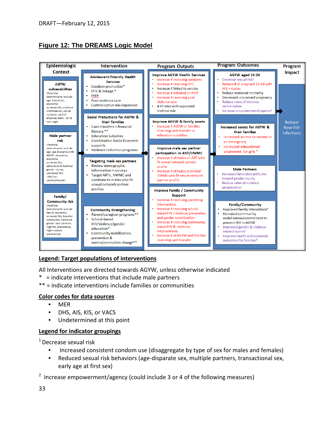## <span id="page-32-0"></span>**Figure 12: The DREAMS Logic Model**



#### **Legend: Target populations of interventions**

All Interventions are directed towards AGYW, unless otherwise indicated

- \* = indicate interventions that include male partners
- \*\* = indicate interventions include families or communities

#### **Color codes for data sources**

- MER
- DHS, AIS, KIS, or VACS
- Undetermined at this point

#### **Legend for indicator groupings**

1 Decrease sexual risk

- Increased consistent condom use (disaggregate by type of sex for males and females)
- Reduced sexual risk behaviors (age-disparate sex, multiple partners, transactional sex, early age at first sex)

<sup>2</sup> Increase empowerment/agency (could include 3 or 4 of the following measures)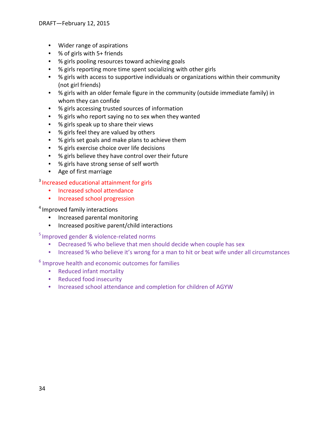- Wider range of aspirations
- % of girls with 5+ friends
- % girls pooling resources toward achieving goals
- % girls reporting more time spent socializing with other girls
- % girls with access to supportive individuals or organizations within their community (not girl friends)
- % girls with an older female figure in the community (outside immediate family) in whom they can confide
- % girls accessing trusted sources of information
- % girls who report saying no to sex when they wanted
- % girls speak up to share their views
- % girls feel they are valued by others
- % girls set goals and make plans to achieve them
- % girls exercise choice over life decisions
- % girls believe they have control over their future
- % girls have strong sense of self worth
- Age of first marriage

#### <sup>3</sup> Increased educational attainment for girls

- Increased school attendance
- Increased school progression

#### <sup>4</sup> Improved family interactions

- Increased parental monitoring
- Increased positive parent/child interactions

## 5 Improved gender & violence-related norms

- Decreased % who believe that men should decide when couple has sex
- Increased % who believe it's wrong for a man to hit or beat wife under all circumstances

#### <sup>6</sup> Improve health and economic outcomes for families

- Reduced infant mortality
- Reduced food insecurity
- Increased school attendance and completion for children of AGYW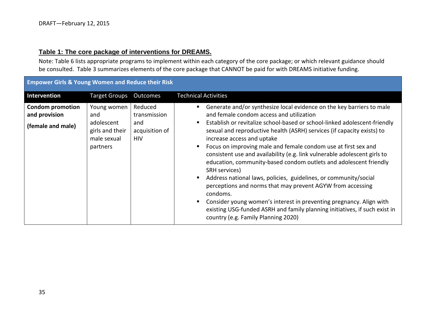#### **Table 1: The core package of interventions for DREAMS.**

Note: Table 6 lists appropriate programs to implement within each category of the core package; or which relevant guidance should be consulted. Table 3 summarizes elements of the core package that CANNOT be paid for with DREAMS initiative funding.

<span id="page-34-0"></span>

| <b>Empower Girls &amp; Young Women and Reduce their Risk</b>  |                                                                                |                                                                |                                                                                                                                                                                                                                                                                                                                                                                                                                                                                                                                                                                                                                                                                                                                                                                                                                                                                                                 |
|---------------------------------------------------------------|--------------------------------------------------------------------------------|----------------------------------------------------------------|-----------------------------------------------------------------------------------------------------------------------------------------------------------------------------------------------------------------------------------------------------------------------------------------------------------------------------------------------------------------------------------------------------------------------------------------------------------------------------------------------------------------------------------------------------------------------------------------------------------------------------------------------------------------------------------------------------------------------------------------------------------------------------------------------------------------------------------------------------------------------------------------------------------------|
| Intervention                                                  | <b>Target Groups</b>                                                           | Outcomes                                                       | <b>Technical Activities</b>                                                                                                                                                                                                                                                                                                                                                                                                                                                                                                                                                                                                                                                                                                                                                                                                                                                                                     |
| <b>Condom promotion</b><br>and provision<br>(female and male) | Young women<br>and<br>adolescent<br>girls and their<br>male sexual<br>partners | Reduced<br>transmission<br>and<br>acquisition of<br><b>HIV</b> | Generate and/or synthesize local evidence on the key barriers to male<br>п<br>and female condom access and utilization<br>Establish or revitalize school-based or school-linked adolescent-friendly<br>л<br>sexual and reproductive health (ASRH) services (if capacity exists) to<br>increase access and uptake<br>Focus on improving male and female condom use at first sex and<br>л<br>consistent use and availability (e.g. link vulnerable adolescent girls to<br>education, community-based condom outlets and adolescent friendly<br>SRH services)<br>Address national laws, policies, guidelines, or community/social<br>п.<br>perceptions and norms that may prevent AGYW from accessing<br>condoms.<br>Consider young women's interest in preventing pregnancy. Align with<br>п<br>existing USG-funded ASRH and family planning initiatives, if such exist in<br>country (e.g. Family Planning 2020) |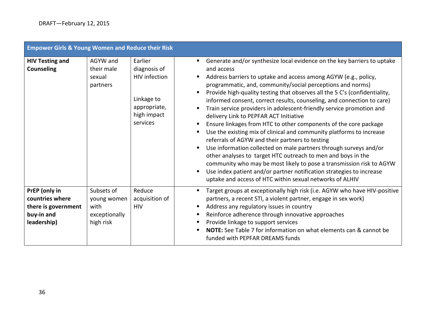| <b>Empower Girls &amp; Young Women and Reduce their Risk</b>                         |                                                                 |                                                                                                   |                                                                                                                                                                                                                                                                                                                                                                                                                                                                                                                                                                                                                                                                                                                                                                                                                                                                                                                                                                                                                                                                                                      |
|--------------------------------------------------------------------------------------|-----------------------------------------------------------------|---------------------------------------------------------------------------------------------------|------------------------------------------------------------------------------------------------------------------------------------------------------------------------------------------------------------------------------------------------------------------------------------------------------------------------------------------------------------------------------------------------------------------------------------------------------------------------------------------------------------------------------------------------------------------------------------------------------------------------------------------------------------------------------------------------------------------------------------------------------------------------------------------------------------------------------------------------------------------------------------------------------------------------------------------------------------------------------------------------------------------------------------------------------------------------------------------------------|
| <b>HIV Testing and</b><br><b>Counseling</b>                                          | AGYW and<br>their male<br>sexual<br>partners                    | Earlier<br>diagnosis of<br>HIV infection<br>Linkage to<br>appropriate,<br>high impact<br>services | Generate and/or synthesize local evidence on the key barriers to uptake<br>and access<br>Address barriers to uptake and access among AGYW (e.g., policy,<br>п.<br>programmatic, and, community/social perceptions and norms)<br>Provide high-quality testing that observes all the 5 C's (confidentiality,<br>п<br>informed consent, correct results, counseling, and connection to care)<br>Train service providers in adolescent-friendly service promotion and<br>delivery Link to PEPFAR ACT Initiative<br>Ensure linkages from HTC to other components of the core package<br>п<br>Use the existing mix of clinical and community platforms to increase<br>referrals of AGYW and their partners to testing<br>Use information collected on male partners through surveys and/or<br>$\blacksquare$<br>other analyses to target HTC outreach to men and boys in the<br>community who may be most likely to pose a transmission risk to AGYW<br>Use index patient and/or partner notification strategies to increase<br>$\blacksquare$<br>uptake and access of HTC within sexual networks of ALHIV |
| PrEP (only in<br>countries where<br>there is government<br>buy-in and<br>leadership) | Subsets of<br>young women<br>with<br>exceptionally<br>high risk | Reduce<br>acquisition of<br><b>HIV</b>                                                            | Target groups at exceptionally high risk (i.e. AGYW who have HIV-positive<br>п.<br>partners, a recent STI, a violent partner, engage in sex work)<br>Address any regulatory issues in country<br>п<br>Reinforce adherence through innovative approaches<br>п<br>Provide linkage to support services<br>٠<br>NOTE: See Table 7 for information on what elements can & cannot be<br>funded with PEPFAR DREAMS funds                                                                                                                                                                                                                                                                                                                                                                                                                                                                                                                                                                                                                                                                                    |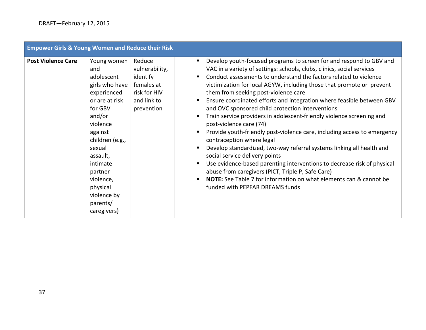| <b>Empower Girls &amp; Young Women and Reduce their Risk</b> |                                                                                                                                                                                                                                                                    |                                                                                                 |                                                                                                                                                                                                                                                                                                                                                                                                                                                                                                                                                                                                                                                                                                                                                                                                                                                                                                                                                                                                                                                                                      |
|--------------------------------------------------------------|--------------------------------------------------------------------------------------------------------------------------------------------------------------------------------------------------------------------------------------------------------------------|-------------------------------------------------------------------------------------------------|--------------------------------------------------------------------------------------------------------------------------------------------------------------------------------------------------------------------------------------------------------------------------------------------------------------------------------------------------------------------------------------------------------------------------------------------------------------------------------------------------------------------------------------------------------------------------------------------------------------------------------------------------------------------------------------------------------------------------------------------------------------------------------------------------------------------------------------------------------------------------------------------------------------------------------------------------------------------------------------------------------------------------------------------------------------------------------------|
| <b>Post Violence Care</b>                                    | Young women<br>and<br>adolescent<br>girls who have<br>experienced<br>or are at risk<br>for GBV<br>and/or<br>violence<br>against<br>children (e.g.,<br>sexual<br>assault,<br>intimate<br>partner<br>violence,<br>physical<br>violence by<br>parents/<br>caregivers) | Reduce<br>vulnerability,<br>identify<br>females at<br>risk for HIV<br>and link to<br>prevention | Develop youth-focused programs to screen for and respond to GBV and<br>п<br>VAC in a variety of settings: schools, clubs, clinics, social services<br>Conduct assessments to understand the factors related to violence<br>$\blacksquare$<br>victimization for local AGYW, including those that promote or prevent<br>them from seeking post-violence care<br>Ensure coordinated efforts and integration where feasible between GBV<br>п<br>and OVC sponsored child protection interventions<br>Train service providers in adolescent-friendly violence screening and<br>post-violence care (74)<br>Provide youth-friendly post-violence care, including access to emergency<br>contraception where legal<br>Develop standardized, two-way referral systems linking all health and<br>п<br>social service delivery points<br>Use evidence-based parenting interventions to decrease risk of physical<br>$\blacksquare$<br>abuse from caregivers (PICT, Triple P, Safe Care)<br>NOTE: See Table 7 for information on what elements can & cannot be<br>funded with PEPFAR DREAMS funds |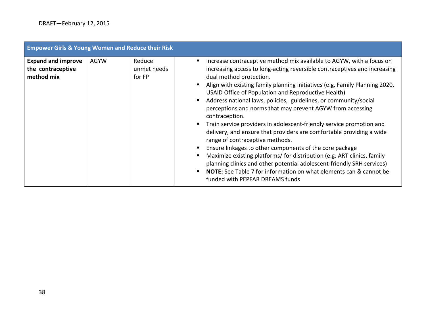| <b>Empower Girls &amp; Young Women and Reduce their Risk</b> |             |                                 |                                                                                                                                                                                                                                                                                                                                                                                                                                                                                                                                                                                                                                                                                                                                                                                                                                                                                                                                                                                                                          |
|--------------------------------------------------------------|-------------|---------------------------------|--------------------------------------------------------------------------------------------------------------------------------------------------------------------------------------------------------------------------------------------------------------------------------------------------------------------------------------------------------------------------------------------------------------------------------------------------------------------------------------------------------------------------------------------------------------------------------------------------------------------------------------------------------------------------------------------------------------------------------------------------------------------------------------------------------------------------------------------------------------------------------------------------------------------------------------------------------------------------------------------------------------------------|
| <b>Expand and improve</b><br>the contraceptive<br>method mix | <b>AGYW</b> | Reduce<br>unmet needs<br>for FP | Increase contraceptive method mix available to AGYW, with a focus on<br>п.<br>increasing access to long-acting reversible contraceptives and increasing<br>dual method protection.<br>Align with existing family planning initiatives (e.g. Family Planning 2020,<br>٠<br>USAID Office of Population and Reproductive Health)<br>Address national laws, policies, guidelines, or community/social<br>$\blacksquare$<br>perceptions and norms that may prevent AGYW from accessing<br>contraception.<br>• Train service providers in adolescent-friendly service promotion and<br>delivery, and ensure that providers are comfortable providing a wide<br>range of contraceptive methods.<br>Ensure linkages to other components of the core package<br>Maximize existing platforms/ for distribution (e.g. ART clinics, family<br>planning clinics and other potential adolescent-friendly SRH services)<br><b>NOTE:</b> See Table 7 for information on what elements can & cannot be<br>funded with PEPFAR DREAMS funds |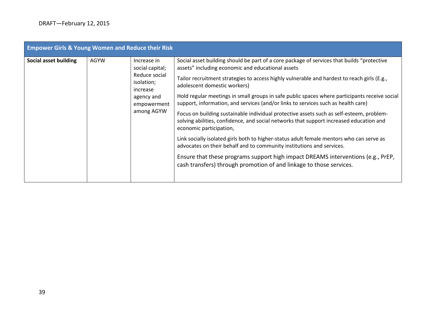| <b>Empower Girls &amp; Young Women and Reduce their Risk</b> |             |                                                                                                                      |                                                                                                                                                                                                                                                                                                                                                                                                                                                                                                                                                                                                                                                                                                                                                                                                                                                                                                                                                                                                                        |
|--------------------------------------------------------------|-------------|----------------------------------------------------------------------------------------------------------------------|------------------------------------------------------------------------------------------------------------------------------------------------------------------------------------------------------------------------------------------------------------------------------------------------------------------------------------------------------------------------------------------------------------------------------------------------------------------------------------------------------------------------------------------------------------------------------------------------------------------------------------------------------------------------------------------------------------------------------------------------------------------------------------------------------------------------------------------------------------------------------------------------------------------------------------------------------------------------------------------------------------------------|
| Social asset building                                        | <b>AGYW</b> | Increase in<br>social capital;<br>Reduce social<br>isolation;<br>increase<br>agency and<br>empowerment<br>among AGYW | Social asset building should be part of a core package of services that builds "protective<br>assets" including economic and educational assets<br>Tailor recruitment strategies to access highly vulnerable and hardest to reach girls (E.g.,<br>adolescent domestic workers)<br>Hold regular meetings in small groups in safe public spaces where participants receive social<br>support, information, and services (and/or links to services such as health care)<br>Focus on building sustainable individual protective assets such as self-esteem, problem-<br>solving abilities, confidence, and social networks that support increased education and<br>economic participation,<br>Link socially isolated girls both to higher-status adult female mentors who can serve as<br>advocates on their behalf and to community institutions and services.<br>Ensure that these programs support high impact DREAMS interventions (e.g., PrEP,<br>cash transfers) through promotion of and linkage to those services. |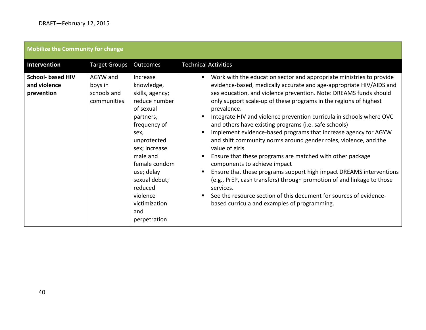| Mobilize the Community for change                      |                                                   |                                                                                                                                                                                                                                                                         |                                                                                                                                                                                                                                                                                                                                                                                                                                                                                                                                                                                                                                                                                                                                                                                                                                                                                                                                                                                            |
|--------------------------------------------------------|---------------------------------------------------|-------------------------------------------------------------------------------------------------------------------------------------------------------------------------------------------------------------------------------------------------------------------------|--------------------------------------------------------------------------------------------------------------------------------------------------------------------------------------------------------------------------------------------------------------------------------------------------------------------------------------------------------------------------------------------------------------------------------------------------------------------------------------------------------------------------------------------------------------------------------------------------------------------------------------------------------------------------------------------------------------------------------------------------------------------------------------------------------------------------------------------------------------------------------------------------------------------------------------------------------------------------------------------|
| <b>Intervention</b>                                    | <b>Target Groups</b>                              | Outcomes                                                                                                                                                                                                                                                                | <b>Technical Activities</b>                                                                                                                                                                                                                                                                                                                                                                                                                                                                                                                                                                                                                                                                                                                                                                                                                                                                                                                                                                |
| <b>School- based HIV</b><br>and violence<br>prevention | AGYW and<br>boys in<br>schools and<br>communities | Increase<br>knowledge,<br>skills, agency;<br>reduce number<br>of sexual<br>partners,<br>frequency of<br>sex,<br>unprotected<br>sex; increase<br>male and<br>female condom<br>use; delay<br>sexual debut;<br>reduced<br>violence<br>victimization<br>and<br>perpetration | Work with the education sector and appropriate ministries to provide<br>evidence-based, medically accurate and age-appropriate HIV/AIDS and<br>sex education, and violence prevention. Note: DREAMS funds should<br>only support scale-up of these programs in the regions of highest<br>prevalence.<br>Integrate HIV and violence prevention curricula in schools where OVC<br>and others have existing programs (i.e. safe schools)<br>Implement evidence-based programs that increase agency for AGYW<br>٠<br>and shift community norms around gender roles, violence, and the<br>value of girls.<br>Ensure that these programs are matched with other package<br>components to achieve impact<br>Ensure that these programs support high impact DREAMS interventions<br>٠<br>(e.g., PrEP, cash transfers) through promotion of and linkage to those<br>services.<br>See the resource section of this document for sources of evidence-<br>based curricula and examples of programming. |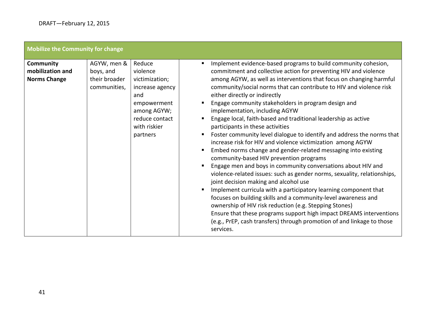Г

| Mobilize the Community for change                           |                                                           |                                                                                                                                            |                                                                                                                                                                                                                                                                                                                                                                                                                                                                                                                                                                                                                                                                                                                                                                                                                                                                                                                                                                                                                                                                                                                                                                                                                                                                                                                          |
|-------------------------------------------------------------|-----------------------------------------------------------|--------------------------------------------------------------------------------------------------------------------------------------------|--------------------------------------------------------------------------------------------------------------------------------------------------------------------------------------------------------------------------------------------------------------------------------------------------------------------------------------------------------------------------------------------------------------------------------------------------------------------------------------------------------------------------------------------------------------------------------------------------------------------------------------------------------------------------------------------------------------------------------------------------------------------------------------------------------------------------------------------------------------------------------------------------------------------------------------------------------------------------------------------------------------------------------------------------------------------------------------------------------------------------------------------------------------------------------------------------------------------------------------------------------------------------------------------------------------------------|
| <b>Community</b><br>mobilization and<br><b>Norms Change</b> | AGYW, men &<br>boys, and<br>their broader<br>communities, | Reduce<br>violence<br>victimization;<br>increase agency<br>and<br>empowerment<br>among AGYW;<br>reduce contact<br>with riskier<br>partners | Implement evidence-based programs to build community cohesion,<br>commitment and collective action for preventing HIV and violence<br>among AGYW, as well as interventions that focus on changing harmful<br>community/social norms that can contribute to HIV and violence risk<br>either directly or indirectly<br>Engage community stakeholders in program design and<br>implementation, including AGYW<br>Engage local, faith-based and traditional leadership as active<br>participants in these activities<br>Foster community level dialogue to identify and address the norms that<br>increase risk for HIV and violence victimization among AGYW<br>Embed norms change and gender-related messaging into existing<br>community-based HIV prevention programs<br>Engage men and boys in community conversations about HIV and<br>violence-related issues: such as gender norms, sexuality, relationships,<br>joint decision making and alcohol use<br>Implement curricula with a participatory learning component that<br>focuses on building skills and a community-level awareness and<br>ownership of HIV risk reduction (e.g. Stepping Stones)<br>Ensure that these programs support high impact DREAMS interventions<br>(e.g., PrEP, cash transfers) through promotion of and linkage to those<br>services. |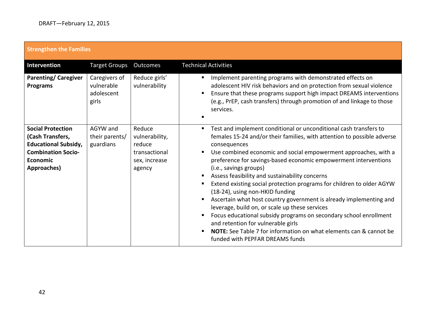| <b>Strengthen the Families</b>                                                                                                      |                                                    |                                                                                |                                                                                                                                                                                                                                                                                                                                                                                                                                                                                                                                                                                                                                                                                                                                                                                                                                                                                                              |
|-------------------------------------------------------------------------------------------------------------------------------------|----------------------------------------------------|--------------------------------------------------------------------------------|--------------------------------------------------------------------------------------------------------------------------------------------------------------------------------------------------------------------------------------------------------------------------------------------------------------------------------------------------------------------------------------------------------------------------------------------------------------------------------------------------------------------------------------------------------------------------------------------------------------------------------------------------------------------------------------------------------------------------------------------------------------------------------------------------------------------------------------------------------------------------------------------------------------|
| Intervention                                                                                                                        | <b>Target Groups</b>                               | <b>Outcomes</b>                                                                | <b>Technical Activities</b>                                                                                                                                                                                                                                                                                                                                                                                                                                                                                                                                                                                                                                                                                                                                                                                                                                                                                  |
| <b>Parenting/Caregiver</b><br><b>Programs</b>                                                                                       | Caregivers of<br>vulnerable<br>adolescent<br>girls | Reduce girls'<br>vulnerability                                                 | Implement parenting programs with demonstrated effects on<br>п<br>adolescent HIV risk behaviors and on protection from sexual violence<br>Ensure that these programs support high impact DREAMS interventions<br>(e.g., PrEP, cash transfers) through promotion of and linkage to those<br>services.                                                                                                                                                                                                                                                                                                                                                                                                                                                                                                                                                                                                         |
| <b>Social Protection</b><br>(Cash Transfers,<br><b>Educational Subsidy,</b><br><b>Combination Socio-</b><br>Economic<br>Approaches) | AGYW and<br>their parents/<br>guardians            | Reduce<br>vulnerability,<br>reduce<br>transactional<br>sex, increase<br>agency | Test and implement conditional or unconditional cash transfers to<br>$\blacksquare$<br>females 15-24 and/or their families, with attention to possible adverse<br>consequences<br>Use combined economic and social empowerment approaches, with a<br>$\blacksquare$<br>preference for savings-based economic empowerment interventions<br>(i.e., savings groups)<br>Assess feasibility and sustainability concerns<br>Extend existing social protection programs for children to older AGYW<br>٠<br>(18-24), using non-HKID funding<br>Ascertain what host country government is already implementing and<br>п.<br>leverage, build on, or scale up these services<br>Focus educational subsidy programs on secondary school enrollment<br>п<br>and retention for vulnerable girls<br>NOTE: See Table 7 for information on what elements can & cannot be<br>$\blacksquare$<br>funded with PEPFAR DREAMS funds |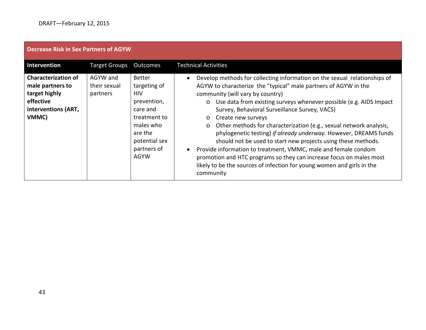<span id="page-42-0"></span>

| <b>Decrease Risk in Sex Partners of AGYW</b>                                                                 |                                      |                                                                                                                                                        |                                                                                                                                                                                                                                                                                                                                                                                                                                                                                                                                                                                                                                                                                                                                                                                                  |
|--------------------------------------------------------------------------------------------------------------|--------------------------------------|--------------------------------------------------------------------------------------------------------------------------------------------------------|--------------------------------------------------------------------------------------------------------------------------------------------------------------------------------------------------------------------------------------------------------------------------------------------------------------------------------------------------------------------------------------------------------------------------------------------------------------------------------------------------------------------------------------------------------------------------------------------------------------------------------------------------------------------------------------------------------------------------------------------------------------------------------------------------|
| Intervention                                                                                                 | <b>Target Groups</b>                 | Outcomes                                                                                                                                               | <b>Technical Activities</b>                                                                                                                                                                                                                                                                                                                                                                                                                                                                                                                                                                                                                                                                                                                                                                      |
| <b>Characterization of</b><br>male partners to<br>target highly<br>effective<br>interventions (ART,<br>VMMC) | AGYW and<br>their sexual<br>partners | <b>Better</b><br>targeting of<br><b>HIV</b><br>prevention,<br>care and<br>treatment to<br>males who<br>are the<br>potential sex<br>partners of<br>AGYW | Develop methods for collecting information on the sexual relationships of<br>AGYW to characterize the "typical" male partners of AGYW in the<br>community (will vary by country)<br>o Use data from existing surveys whenever possible (e.g. AIDS Impact<br>Survey, Behavioral Surveillance Survey, VACS)<br>Create new surveys<br>$\circ$<br>Other methods for characterization (e.g., sexual network analysis,<br>$\circ$<br>phylogenetic testing) if already underway. However, DREAMS funds<br>should not be used to start new projects using these methods.<br>Provide information to treatment, VMMC, male and female condom<br>promotion and HTC programs so they can increase focus on males most<br>likely to be the sources of infection for young women and girls in the<br>community |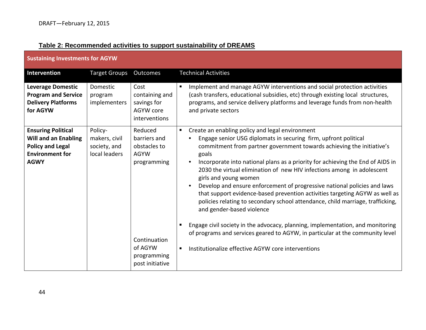### **Table 2: Recommended activities to support sustainability of DREAMS**

<span id="page-43-0"></span>

| <b>Sustaining Investments for AGYW</b>                                                                                       |                                                           |                                                                       |                                                                                                                                                                                                                                                                                                                                                                                                                                                                                                                                                                                                                                                                                                                              |
|------------------------------------------------------------------------------------------------------------------------------|-----------------------------------------------------------|-----------------------------------------------------------------------|------------------------------------------------------------------------------------------------------------------------------------------------------------------------------------------------------------------------------------------------------------------------------------------------------------------------------------------------------------------------------------------------------------------------------------------------------------------------------------------------------------------------------------------------------------------------------------------------------------------------------------------------------------------------------------------------------------------------------|
| <b>Intervention</b>                                                                                                          | <b>Target Groups</b>                                      | Outcomes                                                              | <b>Technical Activities</b>                                                                                                                                                                                                                                                                                                                                                                                                                                                                                                                                                                                                                                                                                                  |
| <b>Leverage Domestic</b><br><b>Program and Service</b><br><b>Delivery Platforms</b><br>for AGYW                              | Domestic<br>program<br>implementers                       | Cost<br>containing and<br>savings for<br>AGYW core<br>interventions   | Implement and manage AGYW interventions and social protection activities<br>(cash transfers, educational subsidies, etc) through existing local structures,<br>programs, and service delivery platforms and leverage funds from non-health<br>and private sectors                                                                                                                                                                                                                                                                                                                                                                                                                                                            |
| <b>Ensuring Political</b><br><b>Will and an Enabling</b><br><b>Policy and Legal</b><br><b>Environment for</b><br><b>AGWY</b> | Policy-<br>makers, civil<br>society, and<br>local leaders | Reduced<br>barriers and<br>obstacles to<br><b>AGYW</b><br>programming | Create an enabling policy and legal environment<br>$\blacksquare$<br>Engage senior USG diplomats in securing firm, upfront political<br>$\bullet$<br>commitment from partner government towards achieving the initiative's<br>goals<br>Incorporate into national plans as a priority for achieving the End of AIDS in<br>$\bullet$<br>2030 the virtual elimination of new HIV infections among in adolescent<br>girls and young women<br>Develop and ensure enforcement of progressive national policies and laws<br>$\bullet$<br>that support evidence-based prevention activities targeting AGYW as well as<br>policies relating to secondary school attendance, child marriage, trafficking,<br>and gender-based violence |
|                                                                                                                              |                                                           | Continuation<br>of AGYW<br>programming<br>post initiative             | Engage civil society in the advocacy, planning, implementation, and monitoring<br>of programs and services geared to AGYW, in particular at the community level<br>Institutionalize effective AGYW core interventions<br>$\blacksquare$                                                                                                                                                                                                                                                                                                                                                                                                                                                                                      |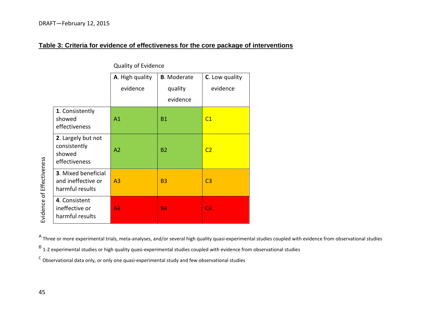#### **Table 3: Criteria for evidence of effectiveness for the core package of interventions**

|                                                                     | A. High quality<br>evidence | <b>B.</b> Moderate<br>quality<br>evidence | C. Low quality<br>evidence |
|---------------------------------------------------------------------|-----------------------------|-------------------------------------------|----------------------------|
| 1. Consistently<br>showed<br>effectiveness                          | A1                          | <b>B1</b>                                 | C1                         |
| 2. Largely but not<br>consistently<br>showed<br>effectiveness       | A <sub>2</sub>              | <b>B2</b>                                 | C <sub>2</sub>             |
| <b>3. Mixed beneficial</b><br>and ineffective or<br>harmful results | A <sub>3</sub>              | B <sub>3</sub>                            | C <sub>3</sub>             |
| 4. Consistent<br>ineffective or<br>harmful results                  | A4                          | <b>B4</b>                                 | C <sub>4</sub>             |

Quality of Evidence

A Three or more experimental trials, meta-analyses, and/or several high quality quasi-experimental studies coupled with evidence from observational studies

 $B$  1-2 experimental studies or high quality quasi-experimental studies coupled with evidence from observational studies

 $\text{c}$  Observational data only, or only one quasi-experimental study and few observational studies

<span id="page-44-0"></span>Evidence of Effectiveness Evidence of Effectiveness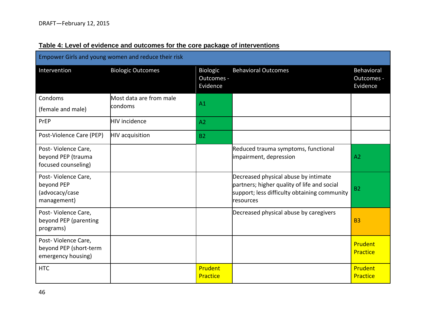<span id="page-45-0"></span>

| Empower Girls and young women and reduce their risk                 |                          |                                    |                                                                                                                                                  |                                      |
|---------------------------------------------------------------------|--------------------------|------------------------------------|--------------------------------------------------------------------------------------------------------------------------------------------------|--------------------------------------|
| Intervention                                                        | <b>Biologic Outcomes</b> | Biologic<br>Outcomes -<br>Evidence | <b>Behavioral Outcomes</b>                                                                                                                       | Behavioral<br>Outcomes -<br>Evidence |
| Condoms                                                             | Most data are from male  | A1                                 |                                                                                                                                                  |                                      |
| (female and male)                                                   | condoms                  |                                    |                                                                                                                                                  |                                      |
| PrEP                                                                | <b>HIV</b> incidence     | A2                                 |                                                                                                                                                  |                                      |
| Post-Violence Care (PEP)                                            | <b>HIV</b> acquisition   | <b>B2</b>                          |                                                                                                                                                  |                                      |
| Post-Violence Care,<br>beyond PEP (trauma<br>focused counseling)    |                          |                                    | Reduced trauma symptoms, functional<br>impairment, depression                                                                                    | A <sub>2</sub>                       |
| Post-Violence Care,<br>beyond PEP<br>(advocacy/case<br>management)  |                          |                                    | Decreased physical abuse by intimate<br>partners; higher quality of life and social<br>support; less difficulty obtaining community<br>resources | <b>B2</b>                            |
| Post-Violence Care,<br>beyond PEP (parenting<br>programs)           |                          |                                    | Decreased physical abuse by caregivers                                                                                                           | <b>B3</b>                            |
| Post-Violence Care,<br>beyond PEP (short-term<br>emergency housing) |                          |                                    |                                                                                                                                                  | Prudent<br>Practice                  |
| <b>HTC</b>                                                          |                          | Prudent<br>Practice                |                                                                                                                                                  | Prudent<br>Practice                  |

### **Table 4: Level of evidence and outcomes for the core package of interventions**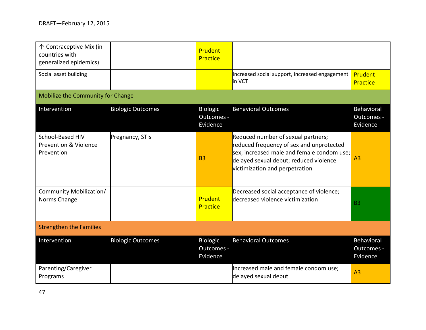| 个 Contraceptive Mix (in<br>countries with<br>generalized epidemics) |                          | Prudent<br>Practice                       |                                                                                                                                                                                                          |                                      |
|---------------------------------------------------------------------|--------------------------|-------------------------------------------|----------------------------------------------------------------------------------------------------------------------------------------------------------------------------------------------------------|--------------------------------------|
| Social asset building                                               |                          |                                           | Increased social support, increased engagement<br>in VCT                                                                                                                                                 | Prudent<br>Practice                  |
| Mobilize the Community for Change                                   |                          |                                           |                                                                                                                                                                                                          |                                      |
| Intervention                                                        | <b>Biologic Outcomes</b> | <b>Biologic</b><br>Outcomes -<br>Evidence | <b>Behavioral Outcomes</b>                                                                                                                                                                               | Behavioral<br>Outcomes -<br>Evidence |
| School-Based HIV<br><b>Prevention &amp; Violence</b><br>Prevention  | Pregnancy, STIs          | <b>B3</b>                                 | Reduced number of sexual partners;<br>reduced frequency of sex and unprotected<br>sex; increased male and female condom use;<br>delayed sexual debut; reduced violence<br>victimization and perpetration | A <sub>3</sub>                       |
| Community Mobilization/<br>Norms Change                             |                          | Prudent<br>Practice                       | Decreased social acceptance of violence;<br>decreased violence victimization                                                                                                                             | <b>B3</b>                            |
| <b>Strengthen the Families</b>                                      |                          |                                           |                                                                                                                                                                                                          |                                      |
| Intervention                                                        | <b>Biologic Outcomes</b> | <b>Biologic</b><br>Outcomes -<br>Evidence | <b>Behavioral Outcomes</b>                                                                                                                                                                               | Behavioral<br>Outcomes -<br>Evidence |
| Parenting/Caregiver<br>Programs                                     |                          |                                           | Increased male and female condom use;<br>delayed sexual debut                                                                                                                                            | A <sub>3</sub>                       |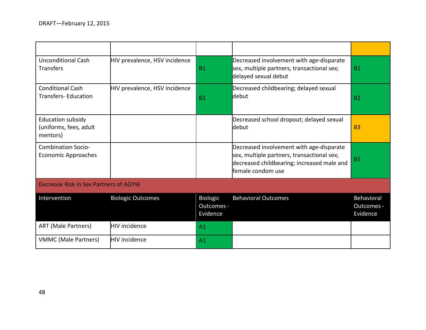| <b>Unconditional Cash</b><br><b>Transfers</b>                  | HIV prevalence, HSV incidence | <b>B1</b>                                 | Decreased involvement with age-disparate<br>sex, multiple partners, transactional sex;<br>delayed sexual debut                                            | <b>B1</b>                            |
|----------------------------------------------------------------|-------------------------------|-------------------------------------------|-----------------------------------------------------------------------------------------------------------------------------------------------------------|--------------------------------------|
| <b>Conditional Cash</b><br><b>Transfers-Education</b>          | HIV prevalence, HSV incidence | <b>B2</b>                                 | Decreased childbearing; delayed sexual<br>debut                                                                                                           | <b>B2</b>                            |
| <b>Education subsidy</b><br>(uniforms, fees, adult<br>mentors) |                               |                                           | Decreased school dropout; delayed sexual<br>debut                                                                                                         | <b>B3</b>                            |
| <b>Combination Socio-</b><br><b>Economic Approaches</b>        |                               |                                           | Decreased involvement with age-disparate<br>sex, multiple partners, transactional sex;<br>decreased childbearing; increased male and<br>female condom use | <b>B1</b>                            |
| Decrease Risk in Sex Partners of AGYW                          |                               |                                           |                                                                                                                                                           |                                      |
| Intervention                                                   | <b>Biologic Outcomes</b>      | <b>Biologic</b><br>Outcomes -<br>Evidence | <b>Behavioral Outcomes</b>                                                                                                                                | Behavioral<br>Outcomes -<br>Evidence |
| <b>ART (Male Partners)</b>                                     | <b>HIV</b> incidence          | A <sub>1</sub>                            |                                                                                                                                                           |                                      |
| <b>VMMC (Male Partners)</b>                                    | <b>HIV</b> incidence          | A <sub>1</sub>                            |                                                                                                                                                           |                                      |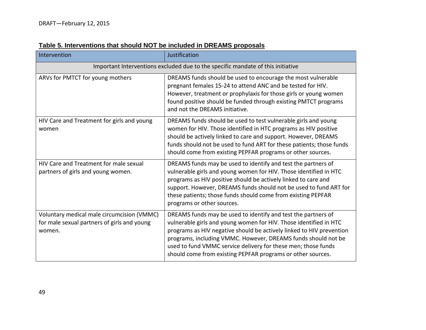<span id="page-48-0"></span>

| Intervention                                                                                        | Justification                                                                                                                                                                                                                                                                                                                                                                                               |
|-----------------------------------------------------------------------------------------------------|-------------------------------------------------------------------------------------------------------------------------------------------------------------------------------------------------------------------------------------------------------------------------------------------------------------------------------------------------------------------------------------------------------------|
|                                                                                                     | Important Interventions excluded due to the specific mandate of this initiative                                                                                                                                                                                                                                                                                                                             |
| ARVs for PMTCT for young mothers                                                                    | DREAMS funds should be used to encourage the most vulnerable<br>pregnant females 15-24 to attend ANC and be tested for HIV.<br>However, treatment or prophylaxis for those girls or young women<br>found positive should be funded through existing PMTCT programs<br>and not the DREAMS initiative.                                                                                                        |
| HIV Care and Treatment for girls and young<br>women                                                 | DREAMS funds should be used to test vulnerable girls and young<br>women for HIV. Those identified in HTC programs as HIV positive<br>should be actively linked to care and support. However, DREAMS<br>funds should not be used to fund ART for these patients; those funds<br>should come from existing PEPFAR programs or other sources.                                                                  |
| HIV Care and Treatment for male sexual<br>partners of girls and young women.                        | DREAMS funds may be used to identify and test the partners of<br>vulnerable girls and young women for HIV. Those identified in HTC<br>programs as HIV positive should be actively linked to care and<br>support. However, DREAMS funds should not be used to fund ART for<br>these patients; those funds should come from existing PEPFAR<br>programs or other sources.                                     |
| Voluntary medical male circumcision (VMMC)<br>for male sexual partners of girls and young<br>women. | DREAMS funds may be used to identify and test the partners of<br>vulnerable girls and young women for HIV. Those identified in HTC<br>programs as HIV negative should be actively linked to HIV prevention<br>programs, including VMMC. However, DREAMS funds should not be<br>used to fund VMMC service delivery for these men; those funds<br>should come from existing PEPFAR programs or other sources. |

## **Table 5. Interventions that should NOT be included in DREAMS proposals**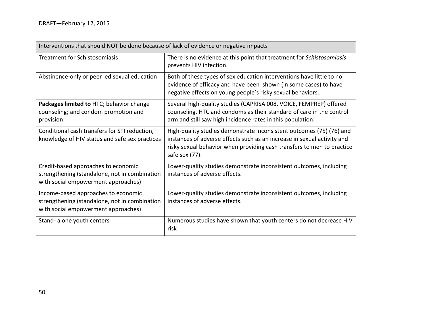<span id="page-49-0"></span>

| Interventions that should NOT be done because of lack of evidence or negative impacts                                       |                                                                                                                                                                                                                                             |  |  |  |
|-----------------------------------------------------------------------------------------------------------------------------|---------------------------------------------------------------------------------------------------------------------------------------------------------------------------------------------------------------------------------------------|--|--|--|
| Treatment for Schistosomiasis                                                                                               | There is no evidence at this point that treatment for Schistosomiasis<br>prevents HIV infection.                                                                                                                                            |  |  |  |
| Abstinence-only or peer led sexual education                                                                                | Both of these types of sex education interventions have little to no<br>evidence of efficacy and have been shown (in some cases) to have<br>negative effects on young people's risky sexual behaviors.                                      |  |  |  |
| Packages limited to HTC; behavior change<br>counseling; and condom promotion and<br>provision                               | Several high-quality studies (CAPRISA 008, VOICE, FEMPREP) offered<br>counseling, HTC and condoms as their standard of care in the control<br>arm and still saw high incidence rates in this population.                                    |  |  |  |
| Conditional cash transfers for STI reduction,<br>knowledge of HIV status and safe sex practices                             | High-quality studies demonstrate inconsistent outcomes (75) (76) and<br>instances of adverse effects such as an increase in sexual activity and<br>risky sexual behavior when providing cash transfers to men to practice<br>safe sex (77). |  |  |  |
| Credit-based approaches to economic<br>strengthening (standalone, not in combination<br>with social empowerment approaches) | Lower-quality studies demonstrate inconsistent outcomes, including<br>instances of adverse effects.                                                                                                                                         |  |  |  |
| Income-based approaches to economic<br>strengthening (standalone, not in combination<br>with social empowerment approaches) | Lower-quality studies demonstrate inconsistent outcomes, including<br>instances of adverse effects.                                                                                                                                         |  |  |  |
| Stand-alone youth centers                                                                                                   | Numerous studies have shown that youth centers do not decrease HIV<br>risk                                                                                                                                                                  |  |  |  |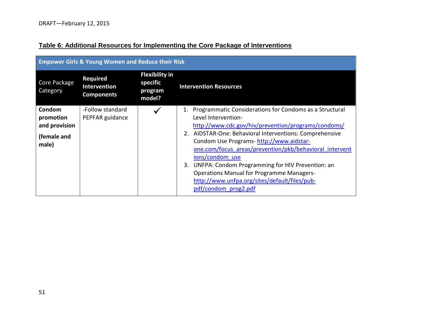|--|

<span id="page-50-0"></span>

| <b>Empower Girls &amp; Young Women and Reduce their Risk</b> |                                                             |                                                        |                                                                                                                                                                                                                                                                                                                                                                                                                                                                                                                     |
|--------------------------------------------------------------|-------------------------------------------------------------|--------------------------------------------------------|---------------------------------------------------------------------------------------------------------------------------------------------------------------------------------------------------------------------------------------------------------------------------------------------------------------------------------------------------------------------------------------------------------------------------------------------------------------------------------------------------------------------|
| Core Package<br>Category                                     | <b>Required</b><br><b>Intervention</b><br><b>Components</b> | <b>Flexibility in</b><br>specific<br>program<br>model? | <b>Intervention Resources</b>                                                                                                                                                                                                                                                                                                                                                                                                                                                                                       |
| Condom<br>promotion<br>and provision<br>(female and<br>male) | -Follow standard<br>PEPFAR guidance                         |                                                        | Programmatic Considerations for Condoms as a Structural<br>1.<br>Level Intervention-<br>http://www.cdc.gov/hiv/prevention/programs/condoms/<br>2. AIDSTAR-One: Behavioral Interventions: Comprehensive<br>Condom Use Programs-http://www.aidstar-<br>one.com/focus areas/prevention/pkb/behavioral intervent<br>ions/condom use<br>3. UNFPA: Condom Programming for HIV Prevention: an<br><b>Operations Manual for Programme Managers-</b><br>http://www.unfpa.org/sites/default/files/pub-<br>pdf/condom prog2.pdf |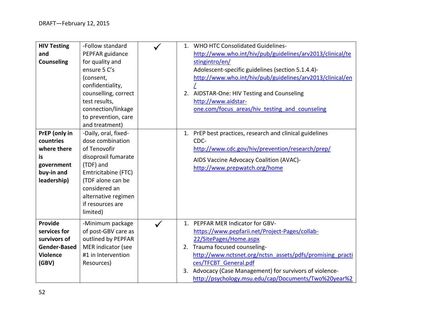| <b>HIV Testing</b><br>and<br><b>Counseling</b>                                             | -Follow standard<br>PEPFAR guidance<br>for quality and<br>ensure 5 C's<br>(consent,<br>confidentiality,<br>counselling, correct<br>test results,<br>connection/linkage<br>to prevention, care<br>and treatment)  |                      | 1. WHO HTC Consolidated Guidelines-<br>http://www.who.int/hiv/pub/guidelines/arv2013/clinical/te<br>stingintro/en/<br>Adolescent-specific guidelines (section 5.1.4.4)-<br>http://www.who.int/hiv/pub/guidelines/arv2013/clinical/en<br>2. AIDSTAR-One: HIV Testing and Counseling<br>http://www.aidstar-<br>one.com/focus areas/hiv testing and counseling |
|--------------------------------------------------------------------------------------------|------------------------------------------------------------------------------------------------------------------------------------------------------------------------------------------------------------------|----------------------|-------------------------------------------------------------------------------------------------------------------------------------------------------------------------------------------------------------------------------------------------------------------------------------------------------------------------------------------------------------|
| PrEP (only in<br>countries<br>where there<br>is<br>government<br>buy-in and<br>leadership) | -Daily, oral, fixed-<br>dose combination<br>of Tenovofir<br>disoproxil fumarate<br>(TDF) and<br>Emtricitabine (FTC)<br>(TDF alone can be<br>considered an<br>alternative regimen<br>if resources are<br>limited) |                      | 1. PrEP best practices, research and clinical guidelines<br>CDC-<br>http://www.cdc.gov/hiv/prevention/research/prep/<br>AIDS Vaccine Advocacy Coalition (AVAC)-<br>http://www.prepwatch.org/home                                                                                                                                                            |
| Provide<br>services for<br>survivors of<br>Gender-Based<br><b>Violence</b><br>(GBV)        | -Minimum package<br>of post-GBV care as<br>outlined by PEPFAR<br>MER indicator (see<br>#1 in Intervention<br>Resources)                                                                                          | $\mathbf{1}$ .<br>3. | PEPFAR MER Indicator for GBV-<br>https://www.pepfarii.net/Project-Pages/collab-<br>22/SitePages/Home.aspx<br>2. Trauma focused counseling-<br>http://www.nctsnet.org/nctsn_assets/pdfs/promising_practi<br>ces/TFCBT General.pdf<br>Advocacy (Case Management) for survivors of violence-<br>http://psychology.msu.edu/cap/Documents/Two%20year%2           |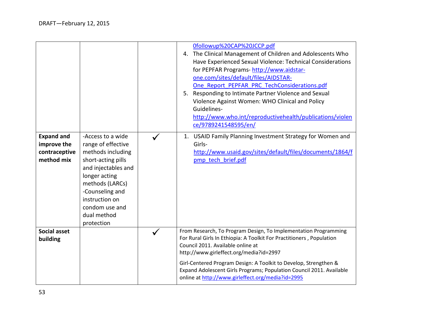|                                                                 |                                                                                                                                                                                                                                   | 0followup%20CAP%20JCCP.pdf<br>4. The Clinical Management of Children and Adolescents Who<br>Have Experienced Sexual Violence: Technical Considerations<br>for PEPFAR Programs-http://www.aidstar-<br>one.com/sites/default/files/AIDSTAR-<br>One Report PEPFAR PRC TechConsiderations.pdf<br>5. Responding to Intimate Partner Violence and Sexual<br>Violence Against Women: WHO Clinical and Policy<br>Guidelines-<br>http://www.who.int/reproductivehealth/publications/violen<br>ce/9789241548595/en/ |
|-----------------------------------------------------------------|-----------------------------------------------------------------------------------------------------------------------------------------------------------------------------------------------------------------------------------|-----------------------------------------------------------------------------------------------------------------------------------------------------------------------------------------------------------------------------------------------------------------------------------------------------------------------------------------------------------------------------------------------------------------------------------------------------------------------------------------------------------|
| <b>Expand and</b><br>improve the<br>contraceptive<br>method mix | -Access to a wide<br>range of effective<br>methods including<br>short-acting pills<br>and injectables and<br>longer acting<br>methods (LARCs)<br>-Counseling and<br>instruction on<br>condom use and<br>dual method<br>protection | USAID Family Planning Investment Strategy for Women and<br>1.<br>Girls-<br>http://www.usaid.gov/sites/default/files/documents/1864/f<br>pmp tech brief.pdf                                                                                                                                                                                                                                                                                                                                                |
| Social asset<br>building                                        |                                                                                                                                                                                                                                   | From Research, To Program Design, To Implementation Programming<br>For Rural Girls In Ethiopia: A Toolkit For Practitioners, Population<br>Council 2011. Available online at<br>http://www.girleffect.org/media?id=2997<br>Girl-Centered Program Design: A Toolkit to Develop, Strengthen &<br>Expand Adolescent Girls Programs; Population Council 2011. Available<br>online at http://www.girleffect.org/media?id=2995                                                                                  |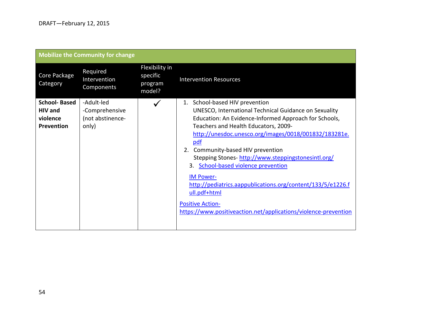|                                                                 | <b>Mobilize the Community for change</b>                  |                                                 |                                                                                                                                                                                                                                                                                                                                                                                                                                                                                                                                                                                                |
|-----------------------------------------------------------------|-----------------------------------------------------------|-------------------------------------------------|------------------------------------------------------------------------------------------------------------------------------------------------------------------------------------------------------------------------------------------------------------------------------------------------------------------------------------------------------------------------------------------------------------------------------------------------------------------------------------------------------------------------------------------------------------------------------------------------|
| Core Package<br>Category                                        | Required<br>Intervention<br>Components                    | Flexibility in<br>specific<br>program<br>model? | <b>Intervention Resources</b>                                                                                                                                                                                                                                                                                                                                                                                                                                                                                                                                                                  |
| <b>School-Based</b><br><b>HIV</b> and<br>violence<br>Prevention | -Adult-led<br>-Comprehensive<br>(not abstinence-<br>only) |                                                 | School-based HIV prevention<br>1.<br>UNESCO, International Technical Guidance on Sexuality<br>Education: An Evidence-Informed Approach for Schools,<br>Teachers and Health Educators, 2009-<br>http://unesdoc.unesco.org/images/0018/001832/183281e.<br>pdf<br>2. Community-based HIV prevention<br>Stepping Stones-http://www.steppingstonesintl.org/<br>3. School-based violence prevention<br><b>IM Power-</b><br>http://pediatrics.aappublications.org/content/133/5/e1226.f<br>ull.pdf+html<br><b>Positive Action-</b><br>https://www.positiveaction.net/applications/violence-prevention |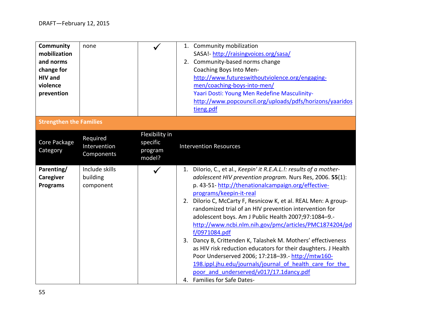| <b>Community</b><br>mobilization<br>and norms<br>change for<br><b>HIV</b> and<br>violence<br>prevention | none                                    |                                                 | 1. Community mobilization<br>SASA! http://raisingvoices.org/sasa/<br>2. Community-based norms change<br>Coaching Boys Into Men-<br>http://www.futureswithoutviolence.org/engaging-<br>men/coaching-boys-into-men/<br>Yaari Dosti: Young Men Redefine Masculinity-<br>http://www.popcouncil.org/uploads/pdfs/horizons/yaaridos<br>tieng.pdf                                                                                                                                                                                                                                                                                                                                                                                                                                                                    |
|---------------------------------------------------------------------------------------------------------|-----------------------------------------|-------------------------------------------------|---------------------------------------------------------------------------------------------------------------------------------------------------------------------------------------------------------------------------------------------------------------------------------------------------------------------------------------------------------------------------------------------------------------------------------------------------------------------------------------------------------------------------------------------------------------------------------------------------------------------------------------------------------------------------------------------------------------------------------------------------------------------------------------------------------------|
| <b>Strengthen the Families</b>                                                                          |                                         |                                                 |                                                                                                                                                                                                                                                                                                                                                                                                                                                                                                                                                                                                                                                                                                                                                                                                               |
| Core Package<br>Category                                                                                | Required<br>Intervention<br>Components  | Flexibility in<br>specific<br>program<br>model? | <b>Intervention Resources</b>                                                                                                                                                                                                                                                                                                                                                                                                                                                                                                                                                                                                                                                                                                                                                                                 |
| Parenting/<br>Caregiver<br><b>Programs</b>                                                              | Include skills<br>building<br>component |                                                 | 1. Dilorio, C., et al., Keepin' it R.E.A.L.!: results of a mother-<br>adolescent HIV prevention program. Nurs Res, 2006. 55(1):<br>p. 43-51-http://thenationalcampaign.org/effective-<br>programs/keepin-it-real<br>Dilorio C, McCarty F, Resnicow K, et al. REAL Men: A group-<br>2.<br>randomized trial of an HIV prevention intervention for<br>adolescent boys. Am J Public Health 2007;97:1084-9.-<br>http://www.ncbi.nlm.nih.gov/pmc/articles/PMC1874204/pd<br>f/0971084.pdf<br>3. Dancy B, Crittenden K, Talashek M. Mothers' effectiveness<br>as HIV risk reduction educators for their daughters. J Health<br>Poor Underserved 2006; 17:218-39. http://mtw160-<br>198.ippl.jhu.edu/journals/journal of health care for the<br>poor and underserved/v017/17.1dancy.pdf<br>4. Families for Safe Dates- |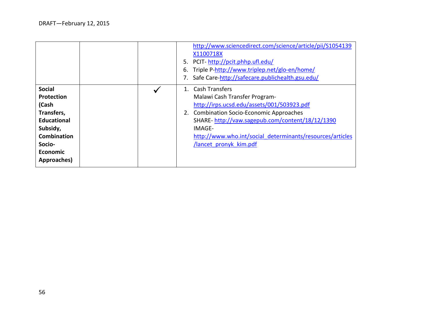|                                                                                                                                                               |  | 5.<br>6.    | http://www.sciencedirect.com/science/article/pii/S1054139<br>X1100718X<br>PCIT-http://pcit.phhp.ufl.edu/<br>Triple P-http://www.triplep.net/glo-en/home/<br>Safe Care-http://safecare.publichealth.gsu.edu/                                                                                         |
|---------------------------------------------------------------------------------------------------------------------------------------------------------------|--|-------------|-----------------------------------------------------------------------------------------------------------------------------------------------------------------------------------------------------------------------------------------------------------------------------------------------------|
| <b>Social</b><br><b>Protection</b><br>(Cash<br>Transfers,<br><b>Educational</b><br>Subsidy,<br><b>Combination</b><br>Socio-<br><b>Economic</b><br>Approaches) |  | $1_{\cdot}$ | <b>Cash Transfers</b><br>Malawi Cash Transfer Program-<br>http://irps.ucsd.edu/assets/001/503923.pdf<br>2. Combination Socio-Economic Approaches<br>SHARE-http://vaw.sagepub.com/content/18/12/1390<br>IMAGE-<br>http://www.who.int/social determinants/resources/articles<br>lancet pronyk kim.pdf |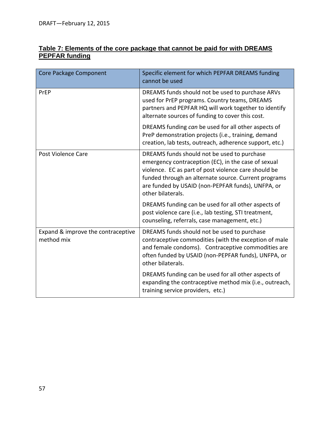| Core Package Component                           | Specific element for which PEPFAR DREAMS funding<br>cannot be used                                                                                                                                                                                                                           |
|--------------------------------------------------|----------------------------------------------------------------------------------------------------------------------------------------------------------------------------------------------------------------------------------------------------------------------------------------------|
| PrEP                                             | DREAMS funds should not be used to purchase ARVs<br>used for PrEP programs. Country teams, DREAMS<br>partners and PEPFAR HQ will work together to identify<br>alternate sources of funding to cover this cost.                                                                               |
|                                                  | DREAMS funding can be used for all other aspects of<br>PreP demonstration projects (i.e., training, demand<br>creation, lab tests, outreach, adherence support, etc.)                                                                                                                        |
| Post Violence Care                               | DREAMS funds should not be used to purchase<br>emergency contraception (EC), in the case of sexual<br>violence. EC as part of post violence care should be<br>funded through an alternate source. Current programs<br>are funded by USAID (non-PEPFAR funds), UNFPA, or<br>other bilaterals. |
|                                                  | DREAMS funding can be used for all other aspects of<br>post violence care (i.e., lab testing, STI treatment,<br>counseling, referrals, case management, etc.)                                                                                                                                |
| Expand & improve the contraceptive<br>method mix | DREAMS funds should not be used to purchase<br>contraceptive commodities (with the exception of male<br>and female condoms). Contraceptive commodities are<br>often funded by USAID (non-PEPFAR funds), UNFPA, or<br>other bilaterals.                                                       |
|                                                  | DREAMS funding can be used for all other aspects of<br>expanding the contraceptive method mix (i.e., outreach,<br>training service providers, etc.)                                                                                                                                          |

#### <span id="page-56-0"></span>**Table 7: Elements of the core package that cannot be paid for with DREAMS PEPFAR funding**